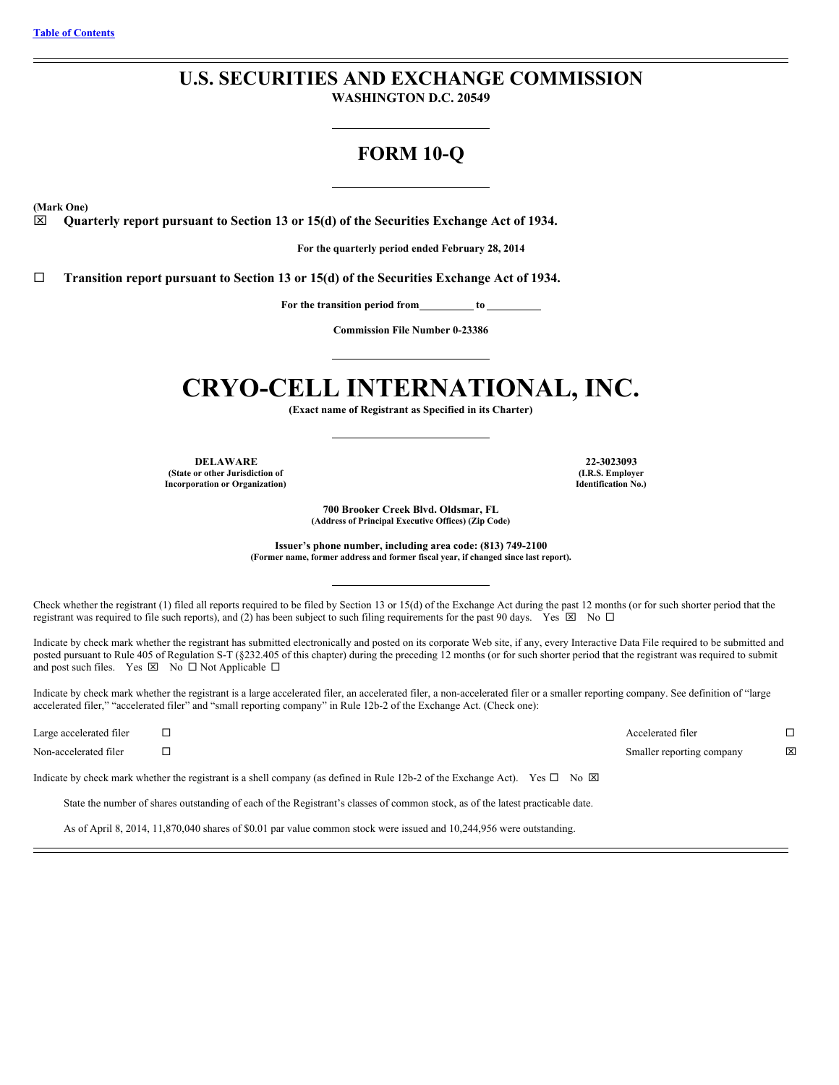# **U.S. SECURITIES AND EXCHANGE COMMISSION**

**WASHINGTON D.C. 20549**

# **FORM 10-Q**

**(Mark One)**

x **Quarterly report pursuant to Section 13 or 15(d) of the Securities Exchange Act of 1934.**

**For the quarterly period ended February 28, 2014**

¨ **Transition report pursuant to Section 13 or 15(d) of the Securities Exchange Act of 1934.**

**For the transition period from to**

**Commission File Number 0-23386**

# **CRYO-CELL INTERNATIONAL, INC.**

**(Exact name of Registrant as Specified in its Charter)**

**DELAWARE 22-3023093 (State or other Jurisdiction of Incorporation or Organization)**

**(I.R.S. Employer Identification No.)**

**700 Brooker Creek Blvd. Oldsmar, FL (Address of Principal Executive Offices) (Zip Code)**

**Issuer's phone number, including area code: (813) 749-2100 (Former name, former address and former fiscal year, if changed since last report).**

Check whether the registrant (1) filed all reports required to be filed by Section 13 or 15(d) of the Exchange Act during the past 12 months (or for such shorter period that the registrant was required to file such reports), and (2) has been subject to such filing requirements for the past 90 days. Yes  $\boxtimes$  No  $\Box$ 

Indicate by check mark whether the registrant has submitted electronically and posted on its corporate Web site, if any, every Interactive Data File required to be submitted and posted pursuant to Rule 405 of Regulation S-T (§232.405 of this chapter) during the preceding 12 months (or for such shorter period that the registrant was required to submit and post such files. Yes  $\boxtimes$  No  $\Box$  Not Applicable  $\Box$ 

Indicate by check mark whether the registrant is a large accelerated filer, an accelerated filer, a non-accelerated filer or a smaller reporting company. See definition of "large accelerated filer," "accelerated filer" and "small reporting company" in Rule 12b-2 of the Exchange Act. (Check one):

| Large accelerated filer |                                                                                                                                            | Accelerated filer         |   |
|-------------------------|--------------------------------------------------------------------------------------------------------------------------------------------|---------------------------|---|
| Non-accelerated filer   |                                                                                                                                            | Smaller reporting company | ⊠ |
|                         | Indicate by check mark whether the registrant is a shell company (as defined in Rule 12b-2 of the Exchange Act). Yes $\Box$ No $\boxtimes$ |                           |   |
|                         | State the number of shares outstanding of each of the Registrant's classes of common stock, as of the latest practicable date.             |                           |   |

As of April 8, 2014, 11,870,040 shares of \$0.01 par value common stock were issued and 10,244,956 were outstanding.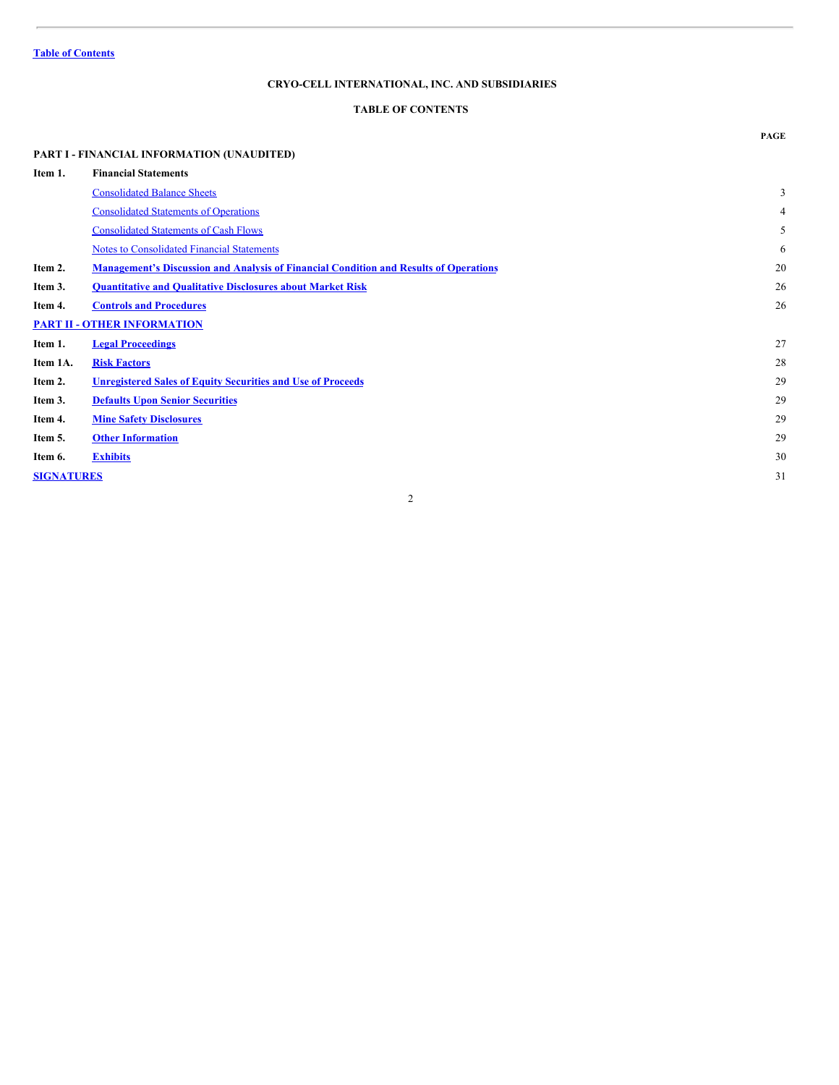### <span id="page-1-0"></span>**TABLE OF CONTENTS**

|                                                                                              | PAGE |
|----------------------------------------------------------------------------------------------|------|
| PART I - FINANCIAL INFORMATION (UNAUDITED)                                                   |      |
| <b>Financial Statements</b>                                                                  |      |
| <b>Consolidated Balance Sheets</b>                                                           | 3    |
| <b>Consolidated Statements of Operations</b>                                                 | 4    |
| <b>Consolidated Statements of Cash Flows</b>                                                 | 5    |
| <b>Notes to Consolidated Financial Statements</b>                                            | 6    |
| <b>Management's Discussion and Analysis of Financial Condition and Results of Operations</b> | 20   |
| <b>Quantitative and Qualitative Disclosures about Market Risk</b>                            | 26   |
| <b>Controls and Procedures</b>                                                               | 26   |
| <b>PART II - OTHER INFORMATION</b>                                                           |      |
| <b>Legal Proceedings</b>                                                                     | 27   |
| <b>Risk Factors</b>                                                                          | 28   |
| <b>Unregistered Sales of Equity Securities and Use of Proceeds</b>                           | 29   |
| <b>Defaults Upon Senior Securities</b>                                                       | 29   |
| <b>Mine Safety Disclosures</b>                                                               | 29   |
| <b>Other Information</b>                                                                     | 29   |
| <b>Exhibits</b>                                                                              | 30   |
| <b>SIGNATURES</b>                                                                            | 31   |
|                                                                                              |      |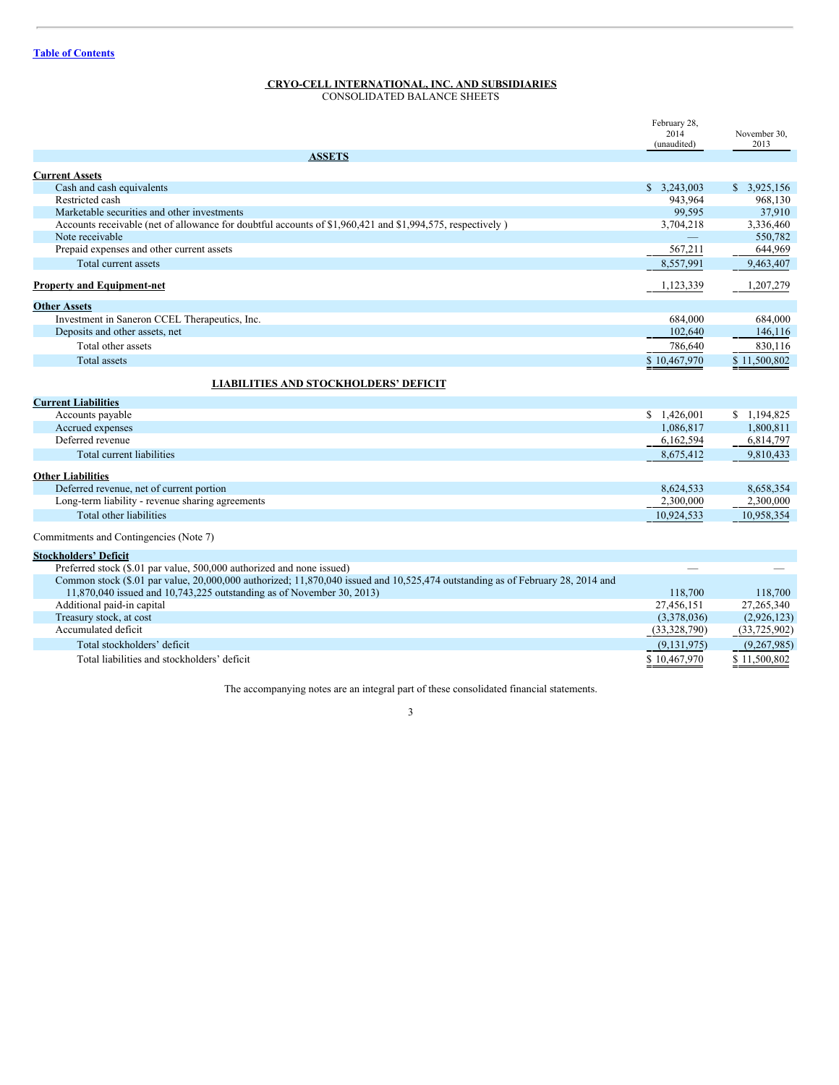<span id="page-2-0"></span>CONSOLIDATED BALANCE SHEETS

|                                                                                                                                | February 28,<br>2014<br>(unaudited) | November 30.<br>2013 |
|--------------------------------------------------------------------------------------------------------------------------------|-------------------------------------|----------------------|
| <b>ASSETS</b>                                                                                                                  |                                     |                      |
| <b>Current Assets</b>                                                                                                          |                                     |                      |
| Cash and cash equivalents                                                                                                      | \$3,243,003                         | \$3,925,156          |
| Restricted cash                                                                                                                | 943,964                             | 968,130              |
| Marketable securities and other investments                                                                                    | 99.595                              | 37.910               |
| Accounts receivable (net of allowance for doubtful accounts of \$1,960,421 and \$1,994,575, respectively)                      | 3,704,218                           | 3,336,460            |
| Note receivable                                                                                                                |                                     | 550,782              |
| Prepaid expenses and other current assets                                                                                      | 567,211                             | 644,969              |
| Total current assets                                                                                                           | 8,557,991                           | 9,463,407            |
| <b>Property and Equipment-net</b>                                                                                              | 1,123,339                           | 1,207,279            |
| <b>Other Assets</b>                                                                                                            |                                     |                      |
| Investment in Saneron CCEL Therapeutics, Inc.                                                                                  | 684,000                             | 684,000              |
| Deposits and other assets, net                                                                                                 | 102,640                             | 146,116              |
| Total other assets                                                                                                             | 786,640                             | 830,116              |
| <b>Total assets</b>                                                                                                            | \$10,467,970                        | \$11,500,802         |
| <b>LIABILITIES AND STOCKHOLDERS' DEFICIT</b>                                                                                   |                                     |                      |
| <b>Current Liabilities</b>                                                                                                     |                                     |                      |
| Accounts payable                                                                                                               | \$1,426,001                         | \$1,194,825          |
| Accrued expenses                                                                                                               | 1,086,817                           | 1,800,811            |
| Deferred revenue                                                                                                               | 6,162,594                           | 6,814,797            |
| Total current liabilities                                                                                                      | 8,675,412                           | 9,810,433            |
| <b>Other Liabilities</b>                                                                                                       |                                     |                      |
| Deferred revenue, net of current portion                                                                                       | 8,624,533                           | 8,658,354            |
| Long-term liability - revenue sharing agreements                                                                               | 2,300,000                           | 2,300,000            |
| Total other liabilities                                                                                                        | 10,924,533                          | 10,958,354           |
| Commitments and Contingencies (Note 7)                                                                                         |                                     |                      |
| <b>Stockholders' Deficit</b>                                                                                                   |                                     |                      |
| Preferred stock (\$.01 par value, 500,000 authorized and none issued)                                                          |                                     |                      |
| Common stock (\$.01 par value, 20,000,000 authorized; 11,870,040 issued and 10,525,474 outstanding as of February 28, 2014 and |                                     |                      |
| 11,870,040 issued and 10,743,225 outstanding as of November 30, 2013)                                                          | 118,700                             | 118,700              |
| Additional paid-in capital                                                                                                     | 27,456,151                          | 27,265,340           |
| Treasury stock, at cost                                                                                                        | (3,378,036)                         | (2,926,123)          |
| Accumulated deficit                                                                                                            | (33,328,790)                        | (33, 725, 902)       |
| Total stockholders' deficit                                                                                                    | (9, 131, 975)                       | (9,267,985)          |

Total liabilities and stockholders' deficit  $\frac{$10,467,970}{9}$   $\frac{$11,500,802}{9}$ 

The accompanying notes are an integral part of these consolidated financial statements.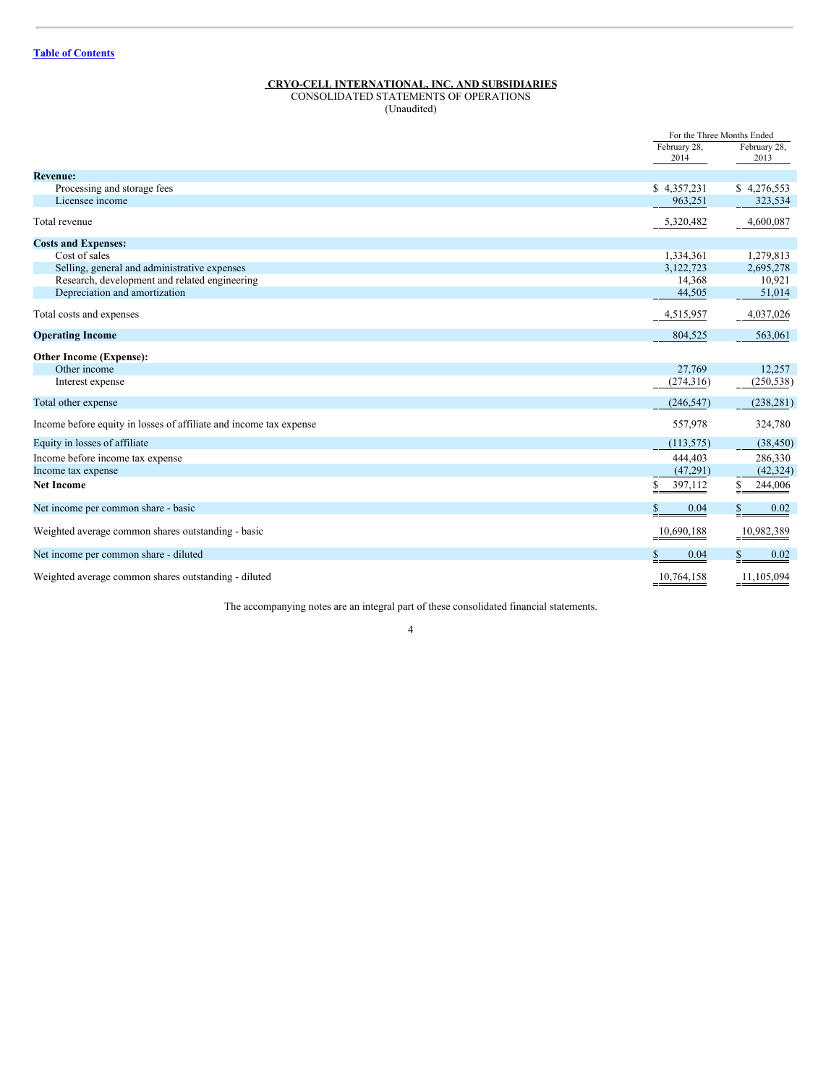#### <span id="page-3-0"></span>CONSOLIDATED STATEMENTS OF OPERATIONS

(Unaudited)

|                                                                    |               | For the Three Months Ended |
|--------------------------------------------------------------------|---------------|----------------------------|
|                                                                    | February 28,  | February 28,               |
|                                                                    | 2014          | 2013                       |
| <b>Revenue:</b>                                                    |               |                            |
| Processing and storage fees                                        | \$4,357,231   | \$4,276,553                |
| Licensee income                                                    | 963,251       | 323,534                    |
| Total revenue                                                      | 5,320,482     | 4,600,087                  |
| <b>Costs and Expenses:</b>                                         |               |                            |
| Cost of sales                                                      | 1,334,361     | 1,279,813                  |
| Selling, general and administrative expenses                       | 3,122,723     | 2,695,278                  |
| Research, development and related engineering                      | 14,368        | 10,921                     |
| Depreciation and amortization                                      | 44,505        | 51,014                     |
| Total costs and expenses                                           | 4,515,957     | 4,037,026                  |
| <b>Operating Income</b>                                            | 804,525       | 563,061                    |
| <b>Other Income (Expense):</b>                                     |               |                            |
| Other income                                                       | 27,769        | 12,257                     |
| Interest expense                                                   | (274,316)     | (250, 538)                 |
| Total other expense                                                | (246, 547)    | (238, 281)                 |
| Income before equity in losses of affiliate and income tax expense | 557,978       | 324,780                    |
| Equity in losses of affiliate                                      | (113, 575)    | (38, 450)                  |
| Income before income tax expense                                   | 444,403       | 286,330                    |
| Income tax expense                                                 | (47,291)      | (42, 324)                  |
| <b>Net Income</b>                                                  | \$<br>397,112 | 244,006<br>S               |
| Net income per common share - basic                                | 0.04<br>S     | 0.02                       |
| Weighted average common shares outstanding - basic                 | 10,690,188    | 10,982,389                 |
| Net income per common share - diluted                              | 0.04          | 0.02                       |
| Weighted average common shares outstanding - diluted               | 10,764,158    | 11,105,094                 |

The accompanying notes are an integral part of these consolidated financial statements.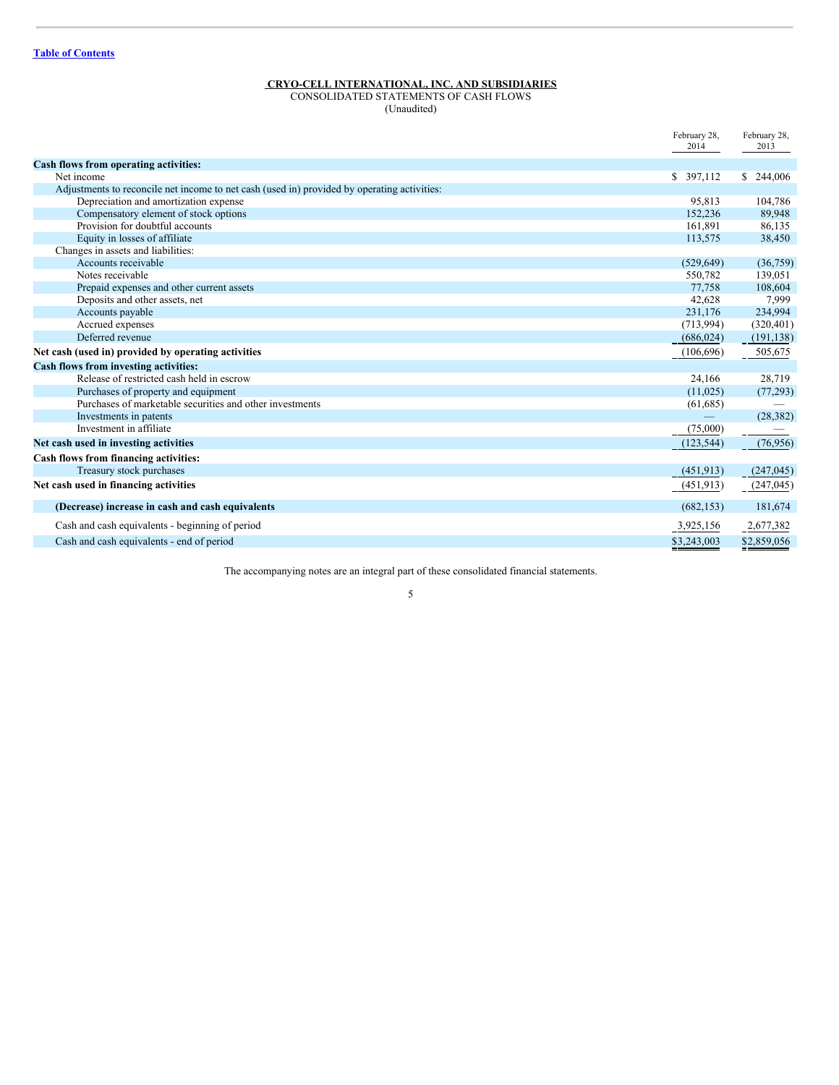#### <span id="page-4-0"></span>CONSOLIDATED STATEMENTS OF CASH FLOWS

(Unaudited)

|                                                                                             | February 28,<br>2014 | February 28,<br>2013 |
|---------------------------------------------------------------------------------------------|----------------------|----------------------|
| Cash flows from operating activities:                                                       |                      |                      |
| Net income                                                                                  | \$ 397,112           | \$244,006            |
| Adjustments to reconcile net income to net cash (used in) provided by operating activities: |                      |                      |
| Depreciation and amortization expense                                                       | 95,813               | 104,786              |
| Compensatory element of stock options                                                       | 152,236              | 89,948               |
| Provision for doubtful accounts                                                             | 161,891              | 86,135               |
| Equity in losses of affiliate                                                               | 113,575              | 38,450               |
| Changes in assets and liabilities:                                                          |                      |                      |
| Accounts receivable                                                                         | (529, 649)           | (36,759)             |
| Notes receivable                                                                            | 550.782              | 139,051              |
| Prepaid expenses and other current assets                                                   | 77,758               | 108,604              |
| Deposits and other assets, net                                                              | 42,628               | 7,999                |
| Accounts payable                                                                            | 231,176              | 234,994              |
| Accrued expenses                                                                            | (713,994)            | (320, 401)           |
| Deferred revenue                                                                            | (686, 024)           | (191, 138)           |
| Net cash (used in) provided by operating activities                                         | (106, 696)           | 505,675              |
| <b>Cash flows from investing activities:</b>                                                |                      |                      |
| Release of restricted cash held in escrow                                                   | 24,166               | 28,719               |
| Purchases of property and equipment                                                         | (11,025)             | (77, 293)            |
| Purchases of marketable securities and other investments                                    | (61, 685)            |                      |
| Investments in patents                                                                      |                      | (28, 382)            |
| Investment in affiliate                                                                     | (75,000)             |                      |
| Net cash used in investing activities                                                       | (123, 544)           | (76,956)             |
| Cash flows from financing activities:                                                       |                      |                      |
| Treasury stock purchases                                                                    | (451, 913)           | (247, 045)           |
| Net cash used in financing activities                                                       | (451, 913)           | (247, 045)           |
| (Decrease) increase in cash and cash equivalents                                            | (682, 153)           | 181,674              |
| Cash and cash equivalents - beginning of period                                             | 3,925,156            | 2,677,382            |
| Cash and cash equivalents - end of period                                                   | \$3,243,003          | \$2,859,056          |

The accompanying notes are an integral part of these consolidated financial statements.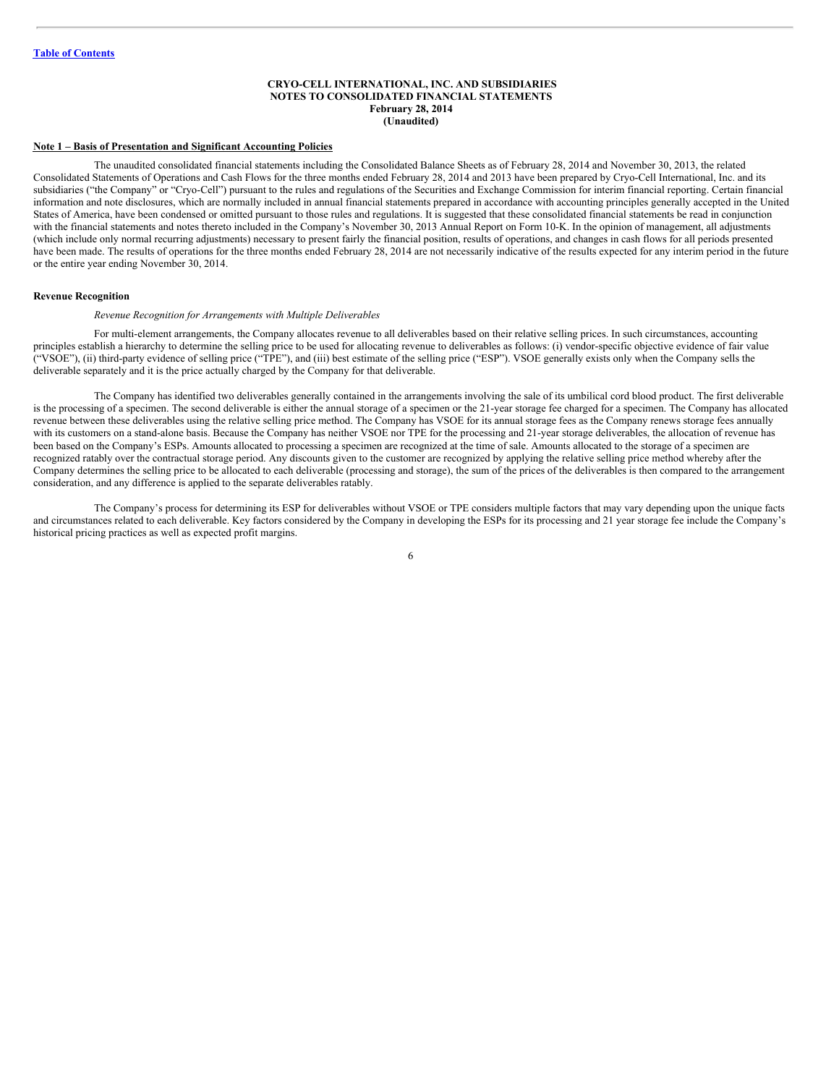#### <span id="page-5-0"></span>**CRYO-CELL INTERNATIONAL, INC. AND SUBSIDIARIES NOTES TO CONSOLIDATED FINANCIAL STATEMENTS February 28, 2014 (Unaudited)**

#### **Note 1 – Basis of Presentation and Significant Accounting Policies**

The unaudited consolidated financial statements including the Consolidated Balance Sheets as of February 28, 2014 and November 30, 2013, the related Consolidated Statements of Operations and Cash Flows for the three months ended February 28, 2014 and 2013 have been prepared by Cryo-Cell International, Inc. and its subsidiaries ("the Company" or "Cryo-Cell") pursuant to the rules and regulations of the Securities and Exchange Commission for interim financial reporting. Certain financial information and note disclosures, which are normally included in annual financial statements prepared in accordance with accounting principles generally accepted in the United States of America, have been condensed or omitted pursuant to those rules and regulations. It is suggested that these consolidated financial statements be read in conjunction with the financial statements and notes thereto included in the Company's November 30, 2013 Annual Report on Form 10-K. In the opinion of management, all adjustments (which include only normal recurring adjustments) necessary to present fairly the financial position, results of operations, and changes in cash flows for all periods presented have been made. The results of operations for the three months ended February 28, 2014 are not necessarily indicative of the results expected for any interim period in the future or the entire year ending November 30, 2014.

#### **Revenue Recognition**

#### *Revenue Recognition for Arrangements with Multiple Deliverables*

For multi-element arrangements, the Company allocates revenue to all deliverables based on their relative selling prices. In such circumstances, accounting principles establish a hierarchy to determine the selling price to be used for allocating revenue to deliverables as follows: (i) vendor-specific objective evidence of fair value ("VSOE"), (ii) third-party evidence of selling price ("TPE"), and (iii) best estimate of the selling price ("ESP"). VSOE generally exists only when the Company sells the deliverable separately and it is the price actually charged by the Company for that deliverable.

The Company has identified two deliverables generally contained in the arrangements involving the sale of its umbilical cord blood product. The first deliverable is the processing of a specimen. The second deliverable is either the annual storage of a specimen or the 21-year storage fee charged for a specimen. The Company has allocated revenue between these deliverables using the relative selling price method. The Company has VSOE for its annual storage fees as the Company renews storage fees annually with its customers on a stand-alone basis. Because the Company has neither VSOE nor TPE for the processing and 21-year storage deliverables, the allocation of revenue has been based on the Company's ESPs. Amounts allocated to processing a specimen are recognized at the time of sale. Amounts allocated to the storage of a specimen are recognized ratably over the contractual storage period. Any discounts given to the customer are recognized by applying the relative selling price method whereby after the Company determines the selling price to be allocated to each deliverable (processing and storage), the sum of the prices of the deliverables is then compared to the arrangement consideration, and any difference is applied to the separate deliverables ratably.

The Company's process for determining its ESP for deliverables without VSOE or TPE considers multiple factors that may vary depending upon the unique facts and circumstances related to each deliverable. Key factors considered by the Company in developing the ESPs for its processing and 21 year storage fee include the Company's historical pricing practices as well as expected profit margins.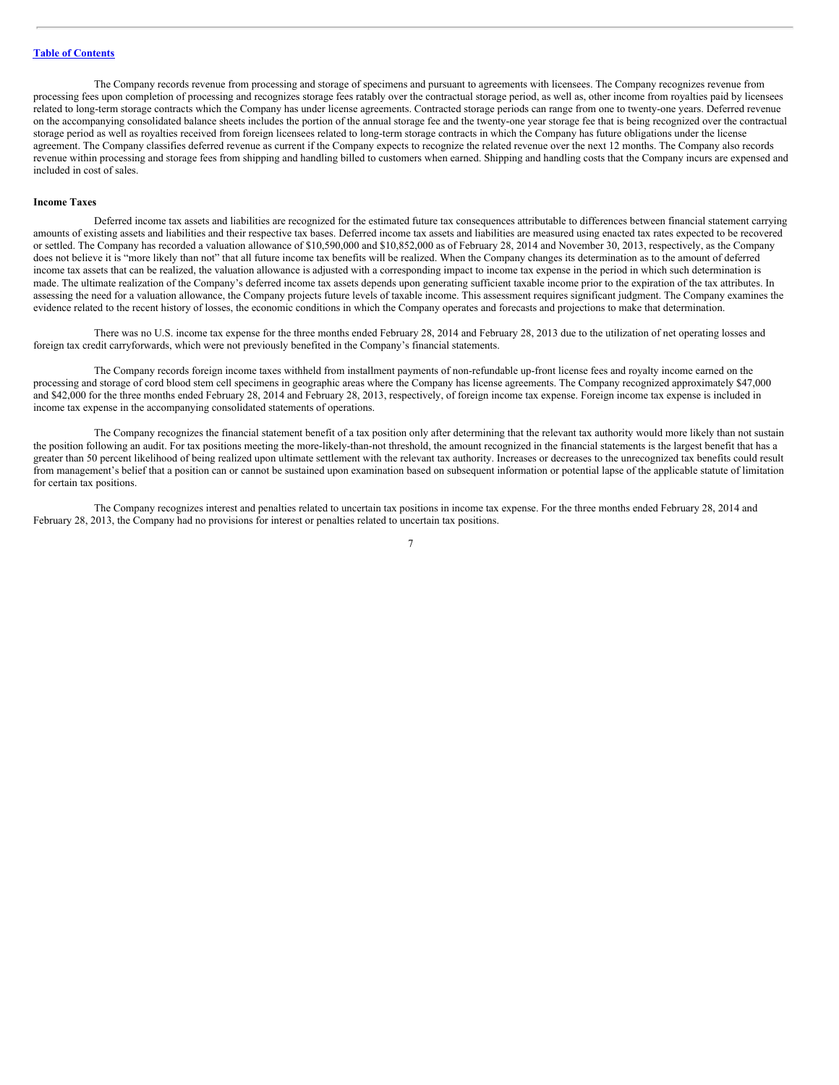The Company records revenue from processing and storage of specimens and pursuant to agreements with licensees. The Company recognizes revenue from processing fees upon completion of processing and recognizes storage fees ratably over the contractual storage period, as well as, other income from royalties paid by licensees related to long-term storage contracts which the Company has under license agreements. Contracted storage periods can range from one to twenty-one years. Deferred revenue on the accompanying consolidated balance sheets includes the portion of the annual storage fee and the twenty-one year storage fee that is being recognized over the contractual storage period as well as royalties received from foreign licensees related to long-term storage contracts in which the Company has future obligations under the license agreement. The Company classifies deferred revenue as current if the Company expects to recognize the related revenue over the next 12 months. The Company also records revenue within processing and storage fees from shipping and handling billed to customers when earned. Shipping and handling costs that the Company incurs are expensed and included in cost of sales.

#### **Income Taxes**

Deferred income tax assets and liabilities are recognized for the estimated future tax consequences attributable to differences between financial statement carrying amounts of existing assets and liabilities and their respective tax bases. Deferred income tax assets and liabilities are measured using enacted tax rates expected to be recovered or settled. The Company has recorded a valuation allowance of \$10,590,000 and \$10,852,000 as of February 28, 2014 and November 30, 2013, respectively, as the Company does not believe it is "more likely than not" that all future income tax benefits will be realized. When the Company changes its determination as to the amount of deferred income tax assets that can be realized, the valuation allowance is adjusted with a corresponding impact to income tax expense in the period in which such determination is made. The ultimate realization of the Company's deferred income tax assets depends upon generating sufficient taxable income prior to the expiration of the tax attributes. In assessing the need for a valuation allowance, the Company projects future levels of taxable income. This assessment requires significant judgment. The Company examines the evidence related to the recent history of losses, the economic conditions in which the Company operates and forecasts and projections to make that determination.

There was no U.S. income tax expense for the three months ended February 28, 2014 and February 28, 2013 due to the utilization of net operating losses and foreign tax credit carryforwards, which were not previously benefited in the Company's financial statements.

The Company records foreign income taxes withheld from installment payments of non-refundable up-front license fees and royalty income earned on the processing and storage of cord blood stem cell specimens in geographic areas where the Company has license agreements. The Company recognized approximately \$47,000 and \$42,000 for the three months ended February 28, 2014 and February 28, 2013, respectively, of foreign income tax expense. Foreign income tax expense is included in income tax expense in the accompanying consolidated statements of operations.

The Company recognizes the financial statement benefit of a tax position only after determining that the relevant tax authority would more likely than not sustain the position following an audit. For tax positions meeting the more-likely-than-not threshold, the amount recognized in the financial statements is the largest benefit that has a greater than 50 percent likelihood of being realized upon ultimate settlement with the relevant tax authority. Increases or decreases to the unrecognized tax benefits could result from management's belief that a position can or cannot be sustained upon examination based on subsequent information or potential lapse of the applicable statute of limitation for certain tax positions.

The Company recognizes interest and penalties related to uncertain tax positions in income tax expense. For the three months ended February 28, 2014 and February 28, 2013, the Company had no provisions for interest or penalties related to uncertain tax positions.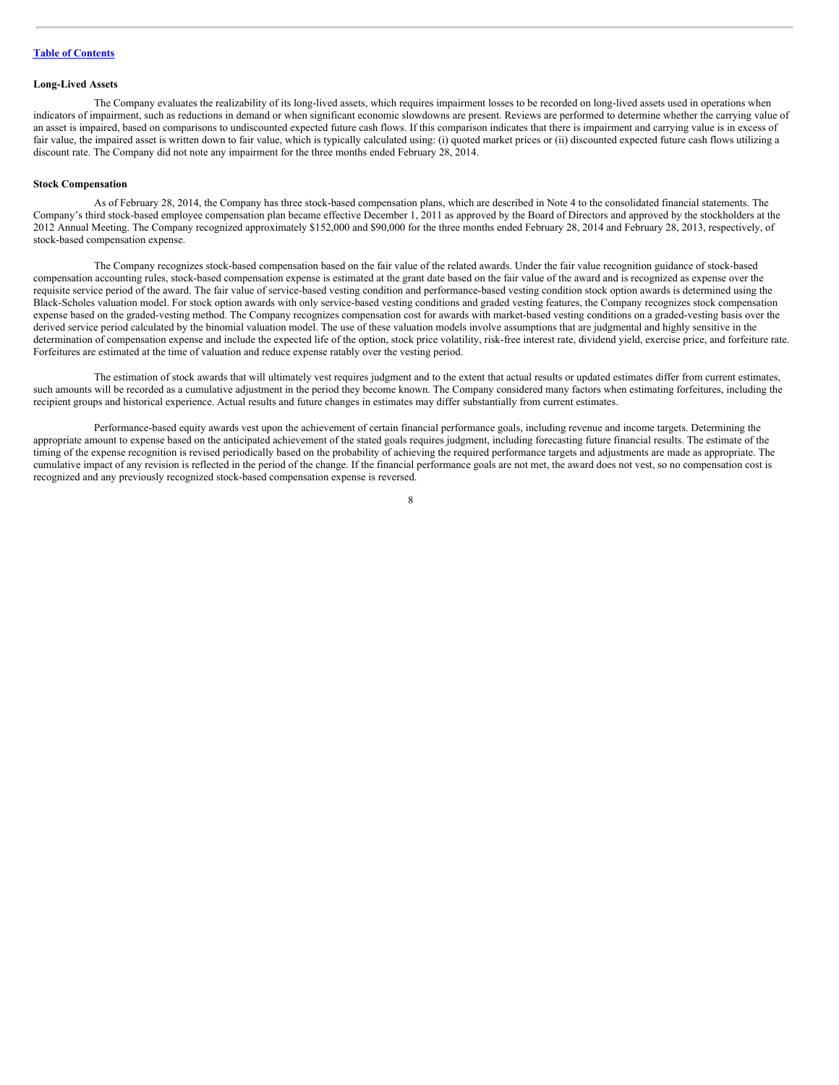#### **Long-Lived Assets**

The Company evaluates the realizability of its long-lived assets, which requires impairment losses to be recorded on long-lived assets used in operations when indicators of impairment, such as reductions in demand or when significant economic slowdowns are present. Reviews are performed to determine whether the carrying value of an asset is impaired, based on comparisons to undiscounted expected future cash flows. If this comparison indicates that there is impairment and carrying value is in excess of fair value, the impaired asset is written down to fair value, which is typically calculated using: (i) quoted market prices or (ii) discounted expected future cash flows utilizing a discount rate. The Company did not note any impairment for the three months ended February 28, 2014.

#### **Stock Compensation**

As of February 28, 2014, the Company has three stock-based compensation plans, which are described in Note 4 to the consolidated financial statements. The Company's third stock-based employee compensation plan became effective December 1, 2011 as approved by the Board of Directors and approved by the stockholders at the 2012 Annual Meeting. The Company recognized approximately \$152,000 and \$90,000 for the three months ended February 28, 2014 and February 28, 2013, respectively, of stock-based compensation expense.

The Company recognizes stock-based compensation based on the fair value of the related awards. Under the fair value recognition guidance of stock-based compensation accounting rules, stock-based compensation expense is estimated at the grant date based on the fair value of the award and is recognized as expense over the requisite service period of the award. The fair value of service-based vesting condition and performance-based vesting condition stock option awards is determined using the Black-Scholes valuation model. For stock option awards with only service-based vesting conditions and graded vesting features, the Company recognizes stock compensation expense based on the graded-vesting method. The Company recognizes compensation cost for awards with market-based vesting conditions on a graded-vesting basis over the derived service period calculated by the binomial valuation model. The use of these valuation models involve assumptions that are judgmental and highly sensitive in the determination of compensation expense and include the expected life of the option, stock price volatility, risk-free interest rate, dividend yield, exercise price, and forfeiture rate. Forfeitures are estimated at the time of valuation and reduce expense ratably over the vesting period.

The estimation of stock awards that will ultimately vest requires judgment and to the extent that actual results or updated estimates differ from current estimates, such amounts will be recorded as a cumulative adjustment in the period they become known. The Company considered many factors when estimating forfeitures, including the recipient groups and historical experience. Actual results and future changes in estimates may differ substantially from current estimates.

Performance-based equity awards vest upon the achievement of certain financial performance goals, including revenue and income targets. Determining the appropriate amount to expense based on the anticipated achievement of the stated goals requires judgment, including forecasting future financial results. The estimate of the timing of the expense recognition is revised periodically based on the probability of achieving the required performance targets and adjustments are made as appropriate. The cumulative impact of any revision is reflected in the period of the change. If the financial performance goals are not met, the award does not vest, so no compensation cost is recognized and any previously recognized stock-based compensation expense is reversed.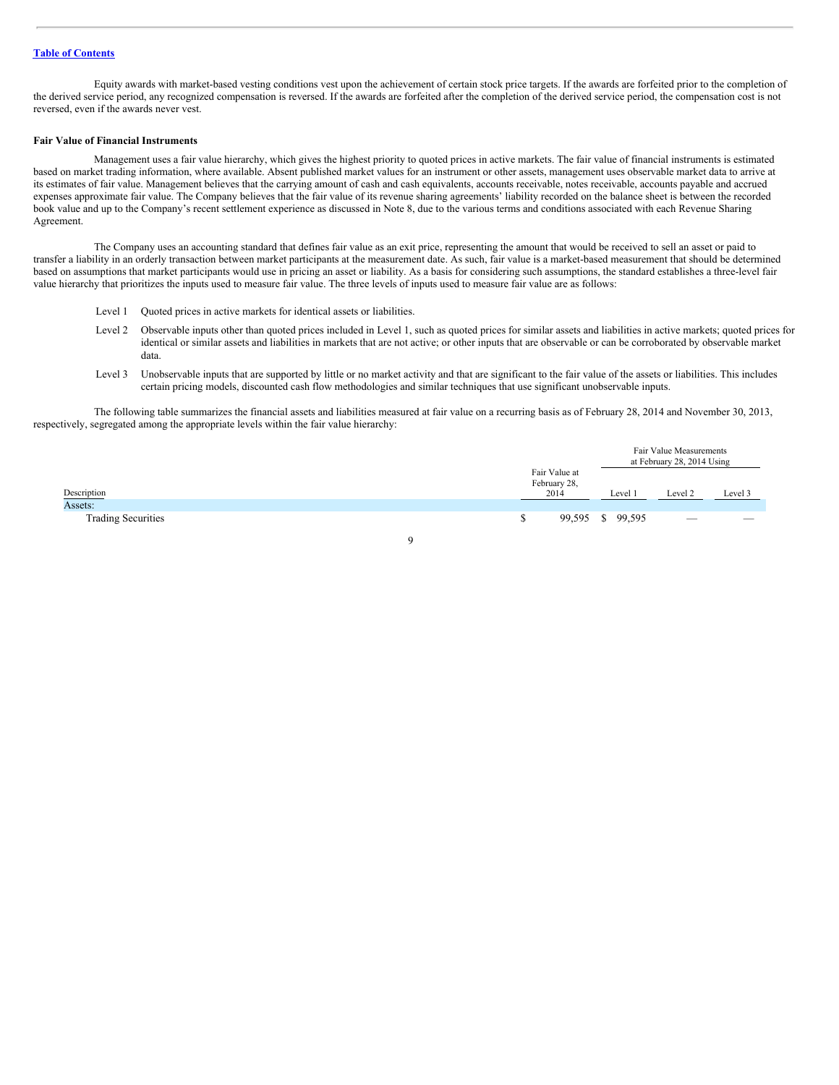Equity awards with market-based vesting conditions vest upon the achievement of certain stock price targets. If the awards are forfeited prior to the completion of the derived service period, any recognized compensation is reversed. If the awards are forfeited after the completion of the derived service period, the compensation cost is not reversed, even if the awards never vest.

#### **Fair Value of Financial Instruments**

Management uses a fair value hierarchy, which gives the highest priority to quoted prices in active markets. The fair value of financial instruments is estimated based on market trading information, where available. Absent published market values for an instrument or other assets, management uses observable market data to arrive at its estimates of fair value. Management believes that the carrying amount of cash and cash equivalents, accounts receivable, notes receivable, accounts payable and accrued expenses approximate fair value. The Company believes that the fair value of its revenue sharing agreements' liability recorded on the balance sheet is between the recorded book value and up to the Company's recent settlement experience as discussed in Note 8, due to the various terms and conditions associated with each Revenue Sharing Agreement.

The Company uses an accounting standard that defines fair value as an exit price, representing the amount that would be received to sell an asset or paid to transfer a liability in an orderly transaction between market participants at the measurement date. As such, fair value is a market-based measurement that should be determined based on assumptions that market participants would use in pricing an asset or liability. As a basis for considering such assumptions, the standard establishes a three-level fair value hierarchy that prioritizes the inputs used to measure fair value. The three levels of inputs used to measure fair value are as follows:

- Level 1 Ouoted prices in active markets for identical assets or liabilities.
- Level 2 Observable inputs other than quoted prices included in Level 1, such as quoted prices for similar assets and liabilities in active markets; quoted prices for identical or similar assets and liabilities in markets that are not active; or other inputs that are observable or can be corroborated by observable market data.
- Level 3 Unobservable inputs that are supported by little or no market activity and that are significant to the fair value of the assets or liabilities. This includes certain pricing models, discounted cash flow methodologies and similar techniques that use significant unobservable inputs.

The following table summarizes the financial assets and liabilities measured at fair value on a recurring basis as of February 28, 2014 and November 30, 2013, respectively, segregated among the appropriate levels within the fair value hierarchy:

|                           |                                       |                  |  | Fair Value Measurements<br>at February 28, 2014 Using |         |         |  |
|---------------------------|---------------------------------------|------------------|--|-------------------------------------------------------|---------|---------|--|
| Description               | Fair Value at<br>February 28,<br>2014 |                  |  | Level 1                                               | Level 2 | Level 3 |  |
| Assets:                   |                                       |                  |  |                                                       |         |         |  |
| <b>Trading Securities</b> |                                       | 99,595 \$ 99,595 |  |                                                       |         |         |  |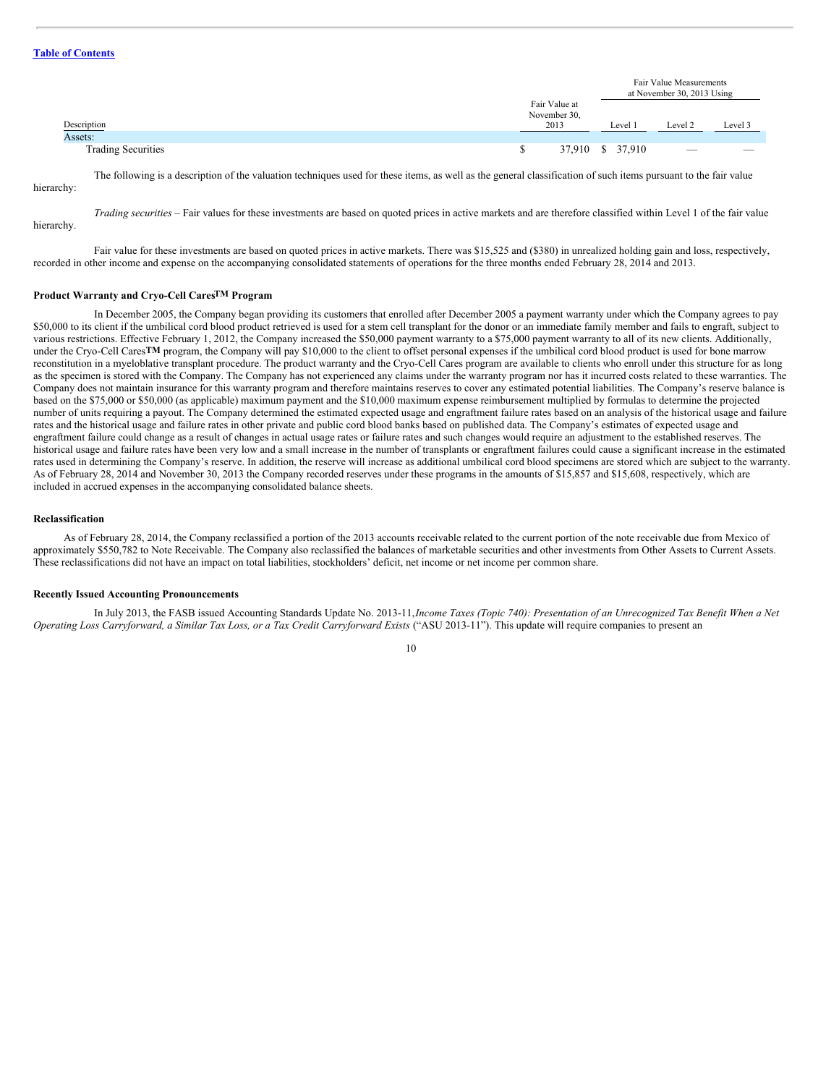|                           |                                       |                  | Fair Value Measurements<br>at November 30, 2013 Using |                          |  |
|---------------------------|---------------------------------------|------------------|-------------------------------------------------------|--------------------------|--|
| Description               | Fair Value at<br>November 30,<br>2013 |                  | Level 2                                               | Level 3                  |  |
| Assets:                   |                                       |                  |                                                       |                          |  |
| <b>Trading Securities</b> |                                       | 37,910 \$ 37,910 |                                                       | $\overline{\phantom{a}}$ |  |

hierarchy:

The following is a description of the valuation techniques used for these items, as well as the general classification of such items pursuant to the fair value

*Trading securities –* Fair values for these investments are based on quoted prices in active markets and are therefore classified within Level 1 of the fair value hierarchy.

Fair value for these investments are based on quoted prices in active markets. There was \$15,525 and (\$380) in unrealized holding gain and loss, respectively, recorded in other income and expense on the accompanying consolidated statements of operations for the three months ended February 28, 2014 and 2013.

#### **Product Warranty and Cryo-Cell CaresTM Program**

In December 2005, the Company began providing its customers that enrolled after December 2005 a payment warranty under which the Company agrees to pay \$50,000 to its client if the umbilical cord blood product retrieved is used for a stem cell transplant for the donor or an immediate family member and fails to engraft, subject to various restrictions. Effective February 1, 2012, the Company increased the \$50,000 payment warranty to a \$75,000 payment warranty to all of its new clients. Additionally, under the Cryo-Cell Cares**TM** program, the Company will pay \$10,000 to the client to offset personal expenses if the umbilical cord blood product is used for bone marrow reconstitution in a myeloblative transplant procedure. The product warranty and the Cryo-Cell Cares program are available to clients who enroll under this structure for as long as the specimen is stored with the Company. The Company has not experienced any claims under the warranty program nor has it incurred costs related to these warranties. The Company does not maintain insurance for this warranty program and therefore maintains reserves to cover any estimated potential liabilities. The Company's reserve balance is based on the \$75,000 or \$50,000 (as applicable) maximum payment and the \$10,000 maximum expense reimbursement multiplied by formulas to determine the projected number of units requiring a payout. The Company determined the estimated expected usage and engraftment failure rates based on an analysis of the historical usage and failure rates and the historical usage and failure rates in other private and public cord blood banks based on published data. The Company's estimates of expected usage and engraftment failure could change as a result of changes in actual usage rates or failure rates and such changes would require an adjustment to the established reserves. The historical usage and failure rates have been very low and a small increase in the number of transplants or engraftment failures could cause a significant increase in the estimated rates used in determining the Company's reserve. In addition, the reserve will increase as additional umbilical cord blood specimens are stored which are subject to the warranty. As of February 28, 2014 and November 30, 2013 the Company recorded reserves under these programs in the amounts of \$15,857 and \$15,608, respectively, which are included in accrued expenses in the accompanying consolidated balance sheets.

#### **Reclassification**

As of February 28, 2014, the Company reclassified a portion of the 2013 accounts receivable related to the current portion of the note receivable due from Mexico of approximately \$550,782 to Note Receivable. The Company also reclassified the balances of marketable securities and other investments from Other Assets to Current Assets. These reclassifications did not have an impact on total liabilities, stockholders' deficit, net income or net income per common share.

#### **Recently Issued Accounting Pronouncements**

In July 2013, the FASB issued Accounting Standards Update No. 2013-11, Income Taxes (Topic 740): Presentation of an Unrecognized Tax Benefit When a Net Operating Loss Carryforward, a Similar Tax Loss, or a Tax Credit Carryforward Exists ("ASU 2013-11"). This update will require companies to present an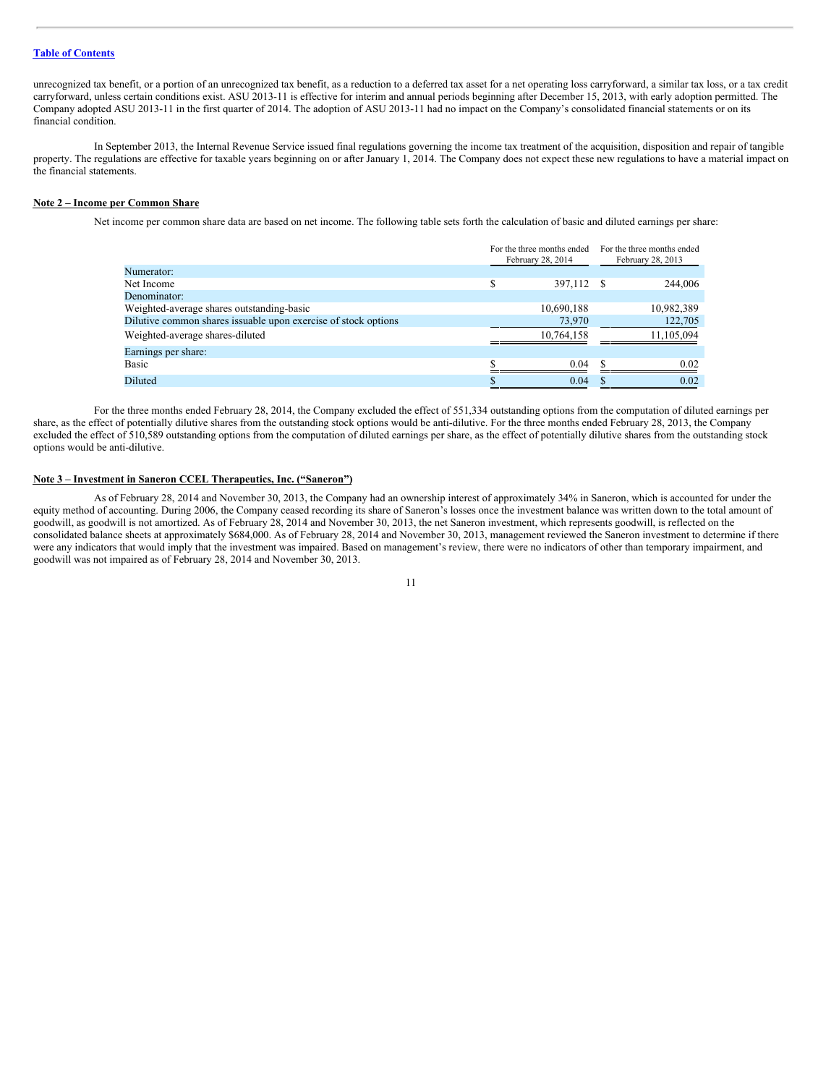unrecognized tax benefit, or a portion of an unrecognized tax benefit, as a reduction to a deferred tax asset for a net operating loss carryforward, a similar tax loss, or a tax credit carryforward, unless certain conditions exist. ASU 2013-11 is effective for interim and annual periods beginning after December 15, 2013, with early adoption permitted. The Company adopted ASU 2013-11 in the first quarter of 2014. The adoption of ASU 2013-11 had no impact on the Company's consolidated financial statements or on its financial condition.

In September 2013, the Internal Revenue Service issued final regulations governing the income tax treatment of the acquisition, disposition and repair of tangible property. The regulations are effective for taxable years beginning on or after January 1, 2014. The Company does not expect these new regulations to have a material impact on the financial statements.

#### **Note 2 – Income per Common Share**

Net income per common share data are based on net income. The following table sets forth the calculation of basic and diluted earnings per share:

|                                                                | For the three months ended<br>February 28, 2014 |            | For the three months ended<br>February 28, 2013 |
|----------------------------------------------------------------|-------------------------------------------------|------------|-------------------------------------------------|
| Numerator:                                                     |                                                 |            |                                                 |
| Net Income                                                     | \$                                              | 397,112    | 244,006                                         |
| Denominator:                                                   |                                                 |            |                                                 |
| Weighted-average shares outstanding-basic                      |                                                 | 10,690,188 | 10,982,389                                      |
| Dilutive common shares issuable upon exercise of stock options |                                                 | 73,970     | 122,705                                         |
| Weighted-average shares-diluted                                |                                                 | 10.764.158 | 11,105,094                                      |
| Earnings per share:                                            |                                                 |            |                                                 |
| Basic                                                          |                                                 | 0.04       | 0.02                                            |
| Diluted                                                        |                                                 | 0.04       | 0.02                                            |

For the three months ended February 28, 2014, the Company excluded the effect of 551,334 outstanding options from the computation of diluted earnings per share, as the effect of potentially dilutive shares from the outstanding stock options would be anti-dilutive. For the three months ended February 28, 2013, the Company excluded the effect of 510,589 outstanding options from the computation of diluted earnings per share, as the effect of potentially dilutive shares from the outstanding stock options would be anti-dilutive.

#### **Note 3 – Investment in Saneron CCEL Therapeutics, Inc. ("Saneron")**

As of February 28, 2014 and November 30, 2013, the Company had an ownership interest of approximately 34% in Saneron, which is accounted for under the equity method of accounting. During 2006, the Company ceased recording its share of Saneron's losses once the investment balance was written down to the total amount of goodwill, as goodwill is not amortized. As of February 28, 2014 and November 30, 2013, the net Saneron investment, which represents goodwill, is reflected on the consolidated balance sheets at approximately \$684,000. As of February 28, 2014 and November 30, 2013, management reviewed the Saneron investment to determine if there were any indicators that would imply that the investment was impaired. Based on management's review, there were no indicators of other than temporary impairment, and goodwill was not impaired as of February 28, 2014 and November 30, 2013.

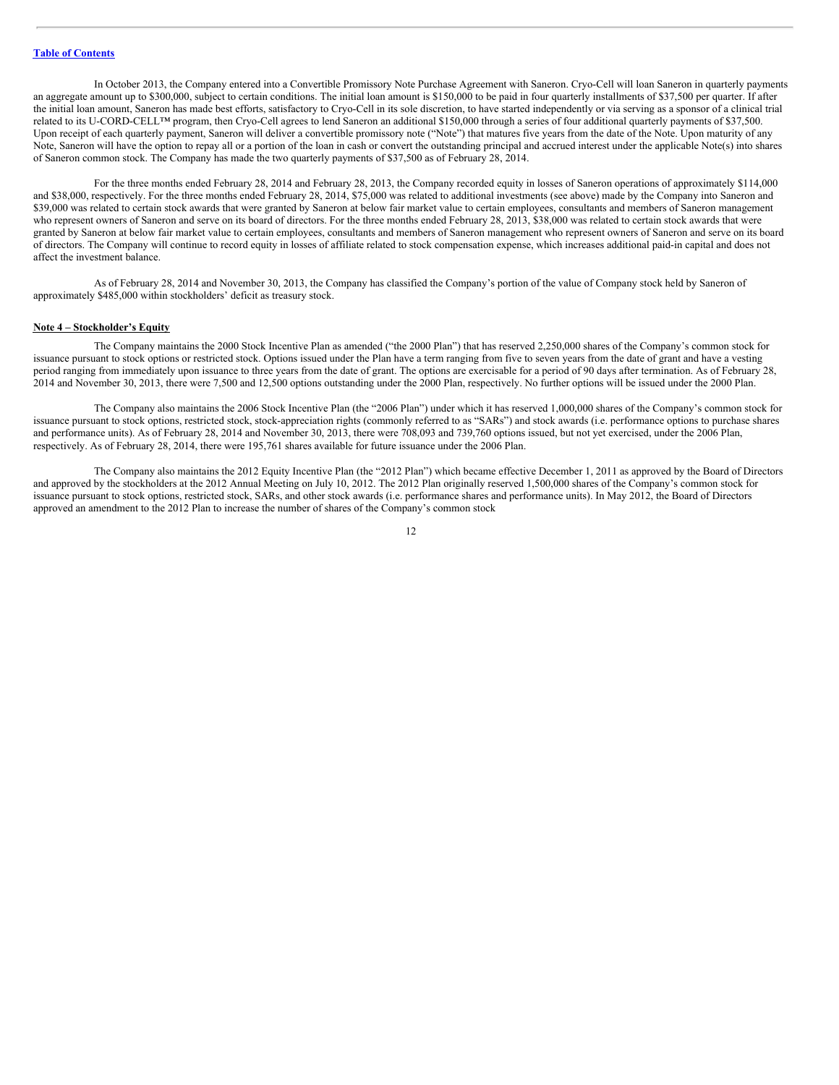In October 2013, the Company entered into a Convertible Promissory Note Purchase Agreement with Saneron. Cryo-Cell will loan Saneron in quarterly payments an aggregate amount up to \$300,000, subject to certain conditions. The initial loan amount is \$150,000 to be paid in four quarterly installments of \$37,500 per quarter. If after the initial loan amount, Saneron has made best efforts, satisfactory to Cryo-Cell in its sole discretion, to have started independently or via serving as a sponsor of a clinical trial related to its U-CORD-CELL™ program, then Cryo-Cell agrees to lend Saneron an additional \$150,000 through a series of four additional quarterly payments of \$37,500. Upon receipt of each quarterly payment, Saneron will deliver a convertible promissory note ("Note") that matures five years from the date of the Note. Upon maturity of any Note, Saneron will have the option to repay all or a portion of the loan in cash or convert the outstanding principal and accrued interest under the applicable Note(s) into shares of Saneron common stock. The Company has made the two quarterly payments of \$37,500 as of February 28, 2014.

For the three months ended February 28, 2014 and February 28, 2013, the Company recorded equity in losses of Saneron operations of approximately \$114,000 and \$38,000, respectively. For the three months ended February 28, 2014, \$75,000 was related to additional investments (see above) made by the Company into Saneron and \$39,000 was related to certain stock awards that were granted by Saneron at below fair market value to certain employees, consultants and members of Saneron management who represent owners of Saneron and serve on its board of directors. For the three months ended February 28, 2013, \$38,000 was related to certain stock awards that were granted by Saneron at below fair market value to certain employees, consultants and members of Saneron management who represent owners of Saneron and serve on its board of directors. The Company will continue to record equity in losses of affiliate related to stock compensation expense, which increases additional paid-in capital and does not affect the investment balance.

As of February 28, 2014 and November 30, 2013, the Company has classified the Company's portion of the value of Company stock held by Saneron of approximately \$485,000 within stockholders' deficit as treasury stock.

#### **Note 4 – Stockholder's Equity**

The Company maintains the 2000 Stock Incentive Plan as amended ("the 2000 Plan") that has reserved 2,250,000 shares of the Company's common stock for issuance pursuant to stock options or restricted stock. Options issued under the Plan have a term ranging from five to seven years from the date of grant and have a vesting period ranging from immediately upon issuance to three years from the date of grant. The options are exercisable for a period of 90 days after termination. As of February 28, 2014 and November 30, 2013, there were 7,500 and 12,500 options outstanding under the 2000 Plan, respectively. No further options will be issued under the 2000 Plan.

The Company also maintains the 2006 Stock Incentive Plan (the "2006 Plan") under which it has reserved 1,000,000 shares of the Company's common stock for issuance pursuant to stock options, restricted stock, stock-appreciation rights (commonly referred to as "SARs") and stock awards (i.e. performance options to purchase shares and performance units). As of February 28, 2014 and November 30, 2013, there were 708,093 and 739,760 options issued, but not yet exercised, under the 2006 Plan, respectively. As of February 28, 2014, there were 195,761 shares available for future issuance under the 2006 Plan.

The Company also maintains the 2012 Equity Incentive Plan (the "2012 Plan") which became effective December 1, 2011 as approved by the Board of Directors and approved by the stockholders at the 2012 Annual Meeting on July 10, 2012. The 2012 Plan originally reserved 1,500,000 shares of the Company's common stock for issuance pursuant to stock options, restricted stock, SARs, and other stock awards (i.e. performance shares and performance units). In May 2012, the Board of Directors approved an amendment to the 2012 Plan to increase the number of shares of the Company's common stock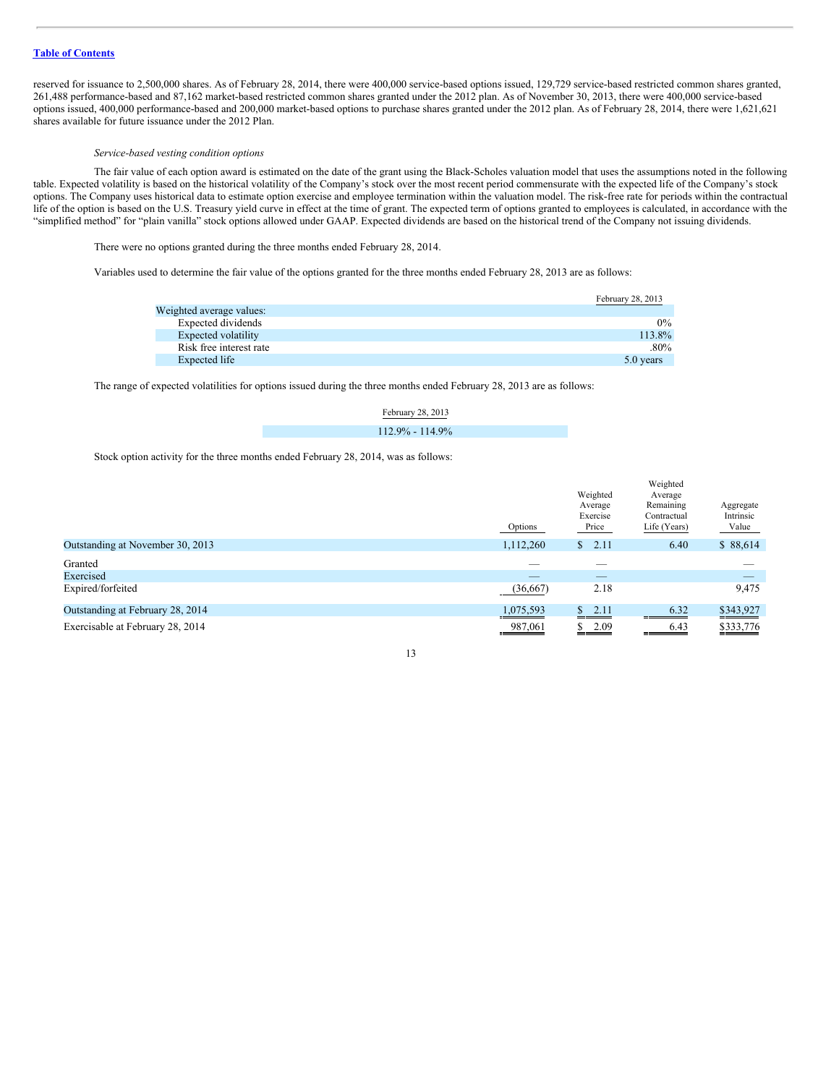reserved for issuance to 2,500,000 shares. As of February 28, 2014, there were 400,000 service-based options issued, 129,729 service-based restricted common shares granted, 261,488 performance-based and 87,162 market-based restricted common shares granted under the 2012 plan. As of November 30, 2013, there were 400,000 service-based options issued, 400,000 performance-based and 200,000 market-based options to purchase shares granted under the 2012 plan. As of February 28, 2014, there were 1,621,621 shares available for future issuance under the 2012 Plan.

#### *Service-based vesting condition options*

The fair value of each option award is estimated on the date of the grant using the Black-Scholes valuation model that uses the assumptions noted in the following table. Expected volatility is based on the historical volatility of the Company's stock over the most recent period commensurate with the expected life of the Company's stock options. The Company uses historical data to estimate option exercise and employee termination within the valuation model. The risk-free rate for periods within the contractual life of the option is based on the U.S. Treasury yield curve in effect at the time of grant. The expected term of options granted to employees is calculated, in accordance with the "simplified method" for "plain vanilla" stock options allowed under GAAP. Expected dividends are based on the historical trend of the Company not issuing dividends.

There were no options granted during the three months ended February 28, 2014.

Variables used to determine the fair value of the options granted for the three months ended February 28, 2013 are as follows:

|                          | February 28, 2013 |
|--------------------------|-------------------|
| Weighted average values: |                   |
| Expected dividends       | $0\%$             |
| Expected volatility      | 113.8%            |
| Risk free interest rate  | .80%              |
| Expected life            | 5.0 years         |

The range of expected volatilities for options issued during the three months ended February 28, 2013 are as follows:

# February 28, 2013 112.9% - 114.9%

Stock option activity for the three months ended February 28, 2014, was as follows:

|                                  | Options   | Weighted<br>Average<br>Exercise<br>Price | Weighted<br>Average<br>Remaining<br>Contractual<br>Life (Years) | Aggregate<br>Intrinsic<br>Value |
|----------------------------------|-----------|------------------------------------------|-----------------------------------------------------------------|---------------------------------|
| Outstanding at November 30, 2013 | 1,112,260 | 2.11<br>$\mathbb{S}$                     | 6.40                                                            | \$88,614                        |
| Granted                          |           | __                                       |                                                                 |                                 |
| Exercised                        |           | _                                        |                                                                 |                                 |
| Expired/forfeited                | (36,667)  | 2.18                                     |                                                                 | 9,475                           |
| Outstanding at February 28, 2014 | 1,075,593 | \$2.11                                   | 6.32                                                            | \$343,927                       |
| Exercisable at February 28, 2014 | 987,061   | 2.09<br>S.                               | 6.43                                                            | \$333,776                       |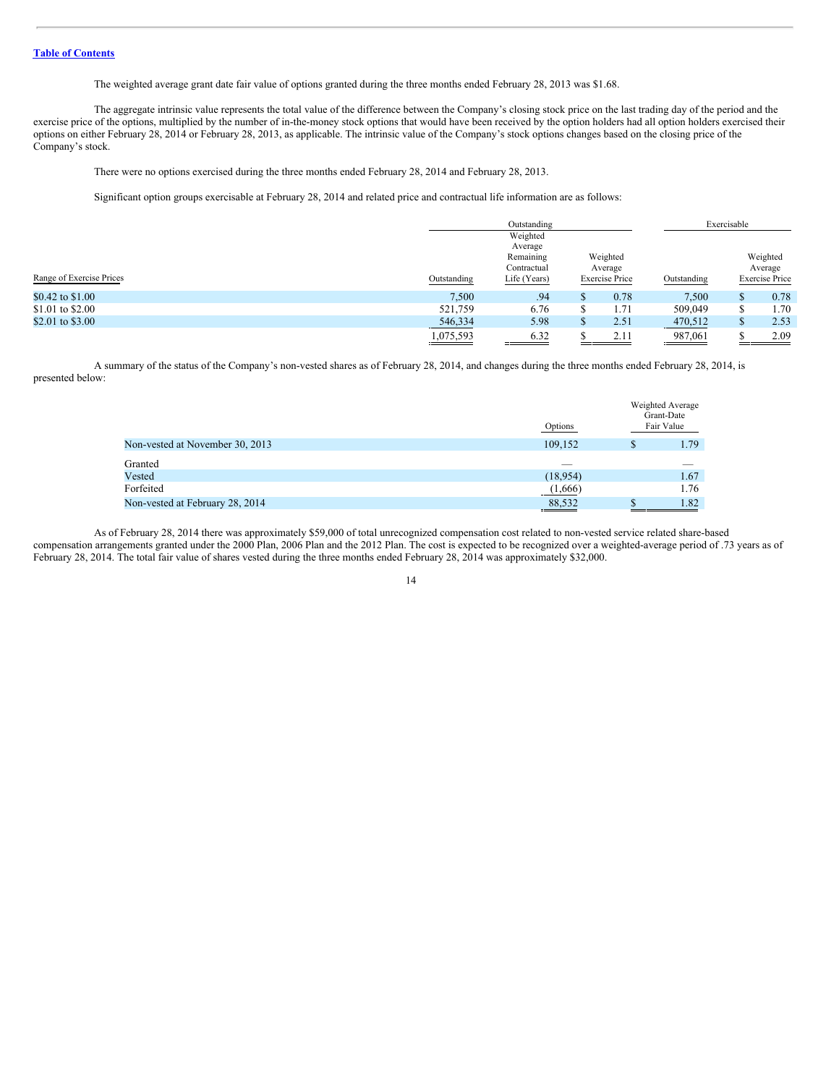The weighted average grant date fair value of options granted during the three months ended February 28, 2013 was \$1.68.

The aggregate intrinsic value represents the total value of the difference between the Company's closing stock price on the last trading day of the period and the exercise price of the options, multiplied by the number of in-the-money stock options that would have been received by the option holders had all option holders exercised their options on either February 28, 2014 or February 28, 2013, as applicable. The intrinsic value of the Company's stock options changes based on the closing price of the Company's stock.

There were no options exercised during the three months ended February 28, 2014 and February 28, 2013.

Significant option groups exercisable at February 28, 2014 and related price and contractual life information are as follows:

|                          |             | Outstanding                                                     |    |                                              |             | Exercisable |                                              |  |
|--------------------------|-------------|-----------------------------------------------------------------|----|----------------------------------------------|-------------|-------------|----------------------------------------------|--|
| Range of Exercise Prices | Outstanding | Weighted<br>Average<br>Remaining<br>Contractual<br>Life (Years) |    | Weighted<br>Average<br><b>Exercise Price</b> | Outstanding |             | Weighted<br>Average<br><b>Exercise Price</b> |  |
| \$0.42 to \$1.00         | 7,500       | .94                                                             | S  | 0.78                                         | 7,500       | Φ           | 0.78                                         |  |
| \$1.01 to \$2.00         | 521,759     | 6.76                                                            | J. | 1.71                                         | 509,049     | Φ           | 1.70                                         |  |
| \$2.01 to \$3.00         | 546,334     | 5.98                                                            | \$ | 2.51                                         | 470,512     | Φ           | 2.53                                         |  |
|                          | 1,075,593   | 6.32                                                            |    | 2.11                                         | 987,061     |             | 2.09                                         |  |

A summary of the status of the Company's non-vested shares as of February 28, 2014, and changes during the three months ended February 28, 2014, is presented below:

|                                 | Options   |    | Weighted Average<br>Grant-Date<br>Fair Value |
|---------------------------------|-----------|----|----------------------------------------------|
| Non-vested at November 30, 2013 | 109.152   | \$ | 1.79                                         |
| Granted                         |           |    | __                                           |
| Vested                          | (18, 954) |    | 1.67                                         |
| Forfeited                       | (1,666)   |    | 1.76                                         |
| Non-vested at February 28, 2014 | 88.532    | S  | 1.82                                         |

As of February 28, 2014 there was approximately \$59,000 of total unrecognized compensation cost related to non-vested service related share-based compensation arrangements granted under the 2000 Plan, 2006 Plan and the 2012 Plan. The cost is expected to be recognized over a weighted-average period of .73 years as of February 28, 2014. The total fair value of shares vested during the three months ended February 28, 2014 was approximately \$32,000.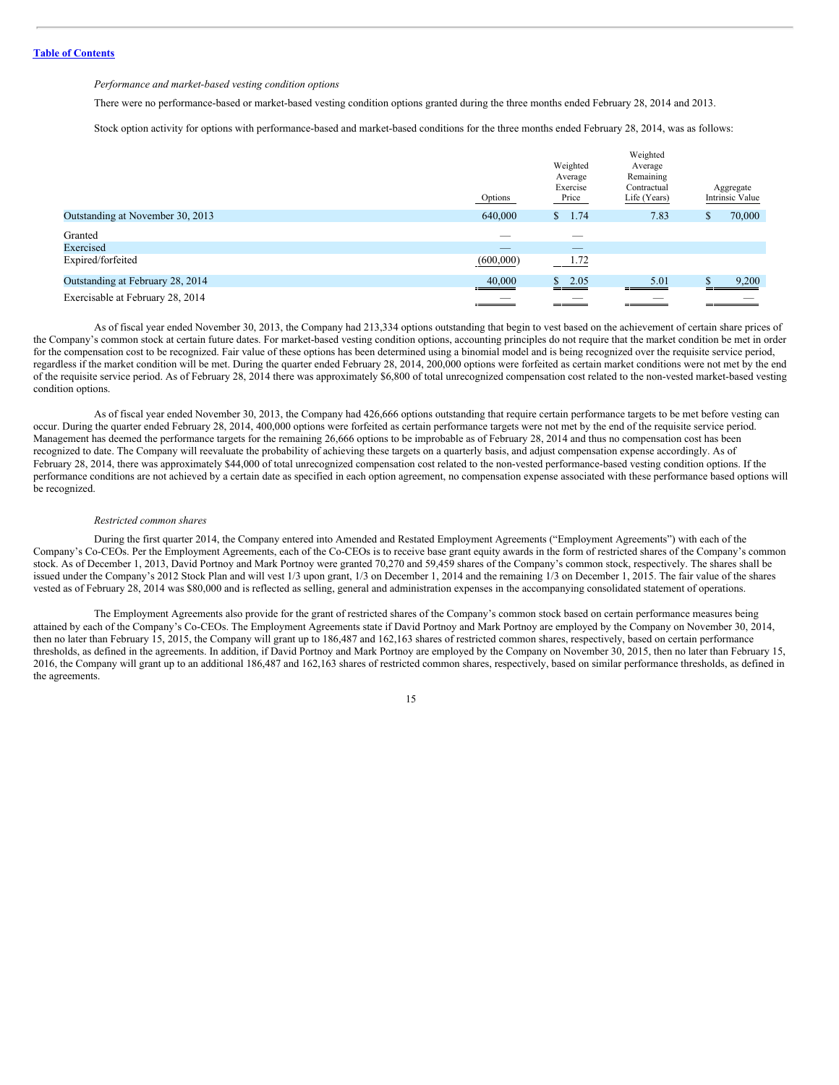*Performance and market-based vesting condition options*

There were no performance-based or market-based vesting condition options granted during the three months ended February 28, 2014 and 2013.

Stock option activity for options with performance-based and market-based conditions for the three months ended February 28, 2014, was as follows:

|                                  | Options   | Weighted<br>Average<br>Exercise<br>Price | Weighted<br>Average<br>Remaining<br>Contractual<br>Life (Years) | Aggregate<br>Intrinsic Value |
|----------------------------------|-----------|------------------------------------------|-----------------------------------------------------------------|------------------------------|
| Outstanding at November 30, 2013 | 640,000   | 1.74<br>\$                               | 7.83                                                            | \$<br>70,000                 |
| Granted                          |           | __                                       |                                                                 |                              |
| Exercised                        | _         | _                                        |                                                                 |                              |
| Expired/forfeited                | (600,000) | 1.72                                     |                                                                 |                              |
| Outstanding at February 28, 2014 | 40,000    | 2.05<br>$\mathbf{s}$                     | 5.01                                                            | 9,200                        |
| Exercisable at February 28, 2014 |           |                                          |                                                                 |                              |

As of fiscal year ended November 30, 2013, the Company had 213,334 options outstanding that begin to vest based on the achievement of certain share prices of the Company's common stock at certain future dates. For market-based vesting condition options, accounting principles do not require that the market condition be met in order for the compensation cost to be recognized. Fair value of these options has been determined using a binomial model and is being recognized over the requisite service period, regardless if the market condition will be met. During the quarter ended February 28, 2014, 200,000 options were forfeited as certain market conditions were not met by the end of the requisite service period. As of February 28, 2014 there was approximately \$6,800 of total unrecognized compensation cost related to the non-vested market-based vesting condition options.

As of fiscal year ended November 30, 2013, the Company had 426,666 options outstanding that require certain performance targets to be met before vesting can occur. During the quarter ended February 28, 2014, 400,000 options were forfeited as certain performance targets were not met by the end of the requisite service period. Management has deemed the performance targets for the remaining 26,666 options to be improbable as of February 28, 2014 and thus no compensation cost has been recognized to date. The Company will reevaluate the probability of achieving these targets on a quarterly basis, and adjust compensation expense accordingly. As of February 28, 2014, there was approximately \$44,000 of total unrecognized compensation cost related to the non-vested performance-based vesting condition options. If the performance conditions are not achieved by a certain date as specified in each option agreement, no compensation expense associated with these performance based options will be recognized.

#### *Restricted common shares*

During the first quarter 2014, the Company entered into Amended and Restated Employment Agreements ("Employment Agreements") with each of the Company's Co-CEOs. Per the Employment Agreements, each of the Co-CEOs is to receive base grant equity awards in the form of restricted shares of the Company's common stock. As of December 1, 2013, David Portnoy and Mark Portnoy were granted 70,270 and 59,459 shares of the Company's common stock, respectively. The shares shall be issued under the Company's 2012 Stock Plan and will vest 1/3 upon grant, 1/3 on December 1, 2014 and the remaining 1/3 on December 1, 2015. The fair value of the shares vested as of February 28, 2014 was \$80,000 and is reflected as selling, general and administration expenses in the accompanying consolidated statement of operations.

The Employment Agreements also provide for the grant of restricted shares of the Company's common stock based on certain performance measures being attained by each of the Company's Co-CEOs. The Employment Agreements state if David Portnoy and Mark Portnoy are employed by the Company on November 30, 2014, then no later than February 15, 2015, the Company will grant up to 186,487 and 162,163 shares of restricted common shares, respectively, based on certain performance thresholds, as defined in the agreements. In addition, if David Portnoy and Mark Portnoy are employed by the Company on November 30, 2015, then no later than February 15, 2016, the Company will grant up to an additional 186,487 and 162,163 shares of restricted common shares, respectively, based on similar performance thresholds, as defined in the agreements.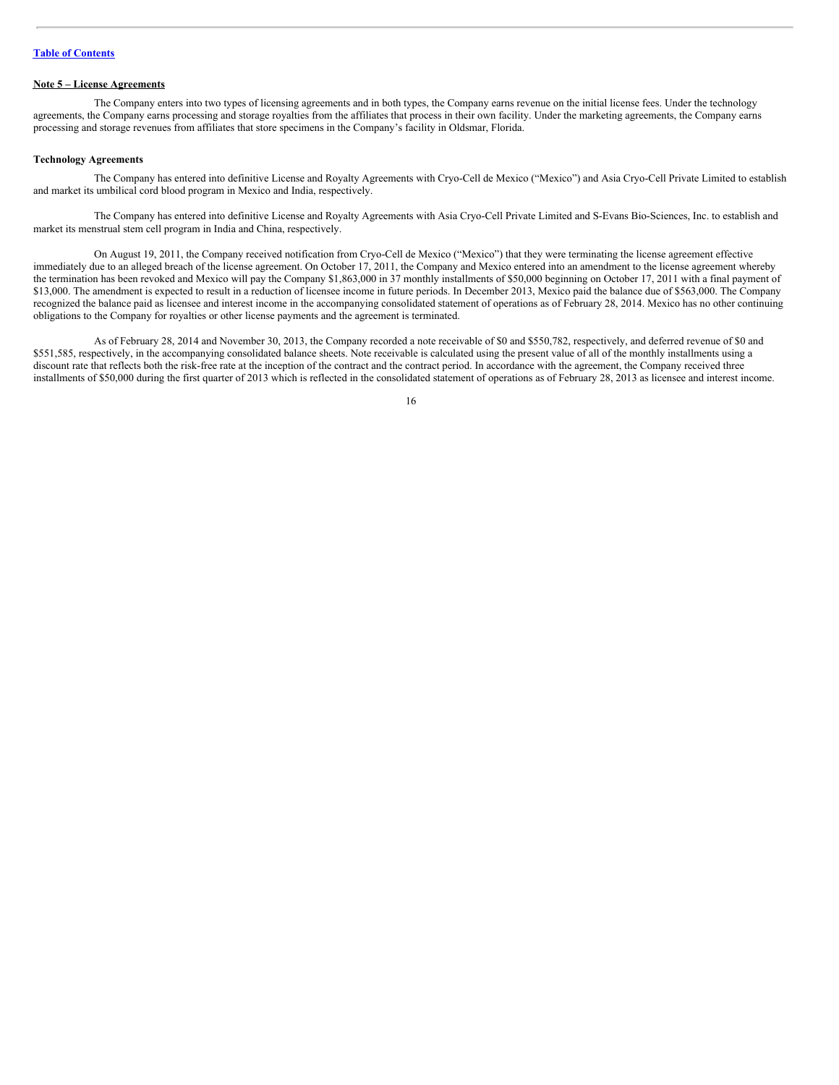#### **Note 5 – License Agreements**

The Company enters into two types of licensing agreements and in both types, the Company earns revenue on the initial license fees. Under the technology agreements, the Company earns processing and storage royalties from the affiliates that process in their own facility. Under the marketing agreements, the Company earns processing and storage revenues from affiliates that store specimens in the Company's facility in Oldsmar, Florida.

#### **Technology Agreements**

The Company has entered into definitive License and Royalty Agreements with Cryo-Cell de Mexico ("Mexico") and Asia Cryo-Cell Private Limited to establish and market its umbilical cord blood program in Mexico and India, respectively.

The Company has entered into definitive License and Royalty Agreements with Asia Cryo-Cell Private Limited and S-Evans Bio-Sciences, Inc. to establish and market its menstrual stem cell program in India and China, respectively.

On August 19, 2011, the Company received notification from Cryo-Cell de Mexico ("Mexico") that they were terminating the license agreement effective immediately due to an alleged breach of the license agreement. On October 17, 2011, the Company and Mexico entered into an amendment to the license agreement whereby the termination has been revoked and Mexico will pay the Company \$1,863,000 in 37 monthly installments of \$50,000 beginning on October 17, 2011 with a final payment of \$13,000. The amendment is expected to result in a reduction of licensee income in future periods. In December 2013, Mexico paid the balance due of \$563,000. The Company recognized the balance paid as licensee and interest income in the accompanying consolidated statement of operations as of February 28, 2014. Mexico has no other continuing obligations to the Company for royalties or other license payments and the agreement is terminated.

As of February 28, 2014 and November 30, 2013, the Company recorded a note receivable of \$0 and \$550,782, respectively, and deferred revenue of \$0 and \$551,585, respectively, in the accompanying consolidated balance sheets. Note receivable is calculated using the present value of all of the monthly installments using a discount rate that reflects both the risk-free rate at the inception of the contract and the contract period. In accordance with the agreement, the Company received three installments of \$50,000 during the first quarter of 2013 which is reflected in the consolidated statement of operations as of February 28, 2013 as licensee and interest income.

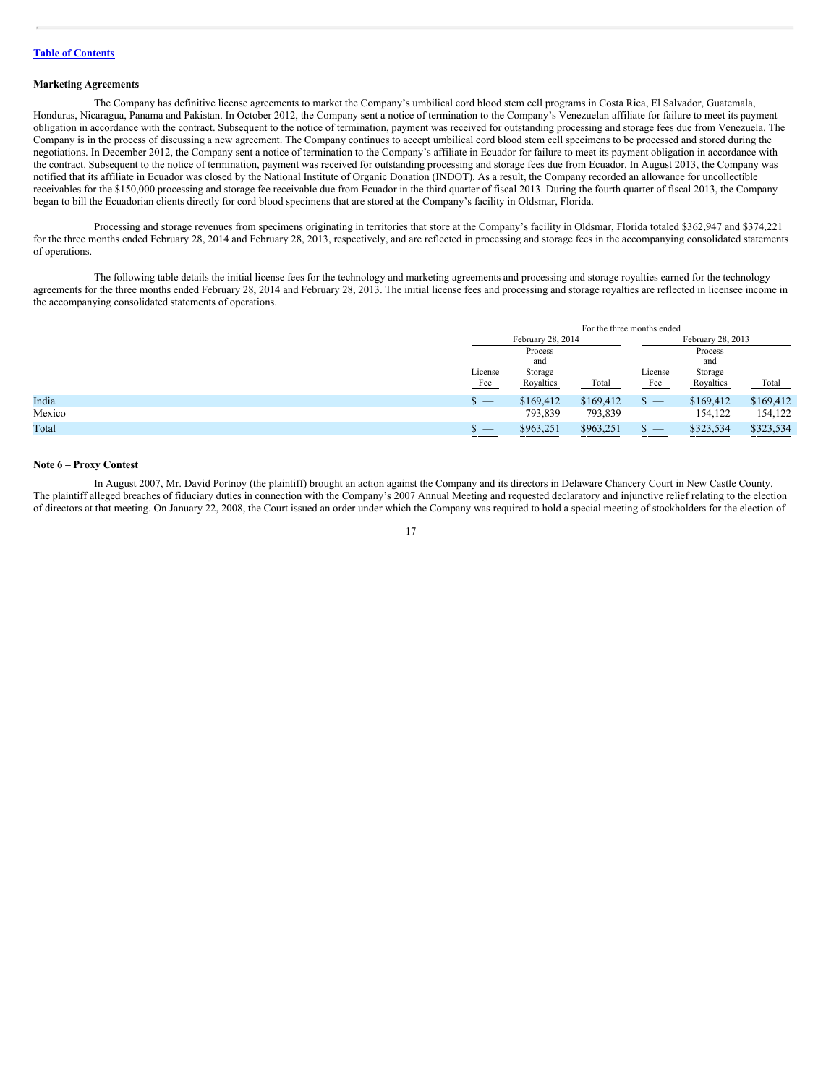#### **Marketing Agreements**

The Company has definitive license agreements to market the Company's umbilical cord blood stem cell programs in Costa Rica, El Salvador, Guatemala, Honduras, Nicaragua, Panama and Pakistan. In October 2012, the Company sent a notice of termination to the Company's Venezuelan affiliate for failure to meet its payment obligation in accordance with the contract. Subsequent to the notice of termination, payment was received for outstanding processing and storage fees due from Venezuela. The Company is in the process of discussing a new agreement. The Company continues to accept umbilical cord blood stem cell specimens to be processed and stored during the negotiations. In December 2012, the Company sent a notice of termination to the Company's affiliate in Ecuador for failure to meet its payment obligation in accordance with the contract. Subsequent to the notice of termination, payment was received for outstanding processing and storage fees due from Ecuador. In August 2013, the Company was notified that its affiliate in Ecuador was closed by the National Institute of Organic Donation (INDOT). As a result, the Company recorded an allowance for uncollectible receivables for the \$150,000 processing and storage fee receivable due from Ecuador in the third quarter of fiscal 2013. During the fourth quarter of fiscal 2013, the Company began to bill the Ecuadorian clients directly for cord blood specimens that are stored at the Company's facility in Oldsmar, Florida.

Processing and storage revenues from specimens originating in territories that store at the Company's facility in Oldsmar, Florida totaled \$362,947 and \$374,221 for the three months ended February 28, 2014 and February 28, 2013, respectively, and are reflected in processing and storage fees in the accompanying consolidated statements of operations.

The following table details the initial license fees for the technology and marketing agreements and processing and storage royalties earned for the technology agreements for the three months ended February 28, 2014 and February 28, 2013. The initial license fees and processing and storage royalties are reflected in licensee income in the accompanying consolidated statements of operations.

|        |                          | For the three months ended             |           |                                 |                                        |           |  |
|--------|--------------------------|----------------------------------------|-----------|---------------------------------|----------------------------------------|-----------|--|
|        |                          | February 28, 2014                      |           |                                 | February 28, 2013                      |           |  |
|        | License<br>Fee           | Process<br>and<br>Storage<br>Royalties | Total     | License<br>Fee                  | Process<br>and<br>Storage<br>Royalties | Total     |  |
| India  |                          | \$169,412                              | \$169,412 | $\overline{\phantom{a}}$        | \$169,412                              | \$169,412 |  |
| Mexico | $\overline{\phantom{0}}$ | 793,839                                | 793,839   | $\hspace{0.1mm}-\hspace{0.1mm}$ | 154,122                                | 154,122   |  |
| Total  |                          | \$963,251                              | \$963,251 | $\overline{\phantom{a}}$        | \$323,534                              | \$323,534 |  |

#### **Note 6 – Proxy Contest**

In August 2007, Mr. David Portnoy (the plaintiff) brought an action against the Company and its directors in Delaware Chancery Court in New Castle County. The plaintiff alleged breaches of fiduciary duties in connection with the Company's 2007 Annual Meeting and requested declaratory and injunctive relief relating to the election of directors at that meeting. On January 22, 2008, the Court issued an order under which the Company was required to hold a special meeting of stockholders for the election of

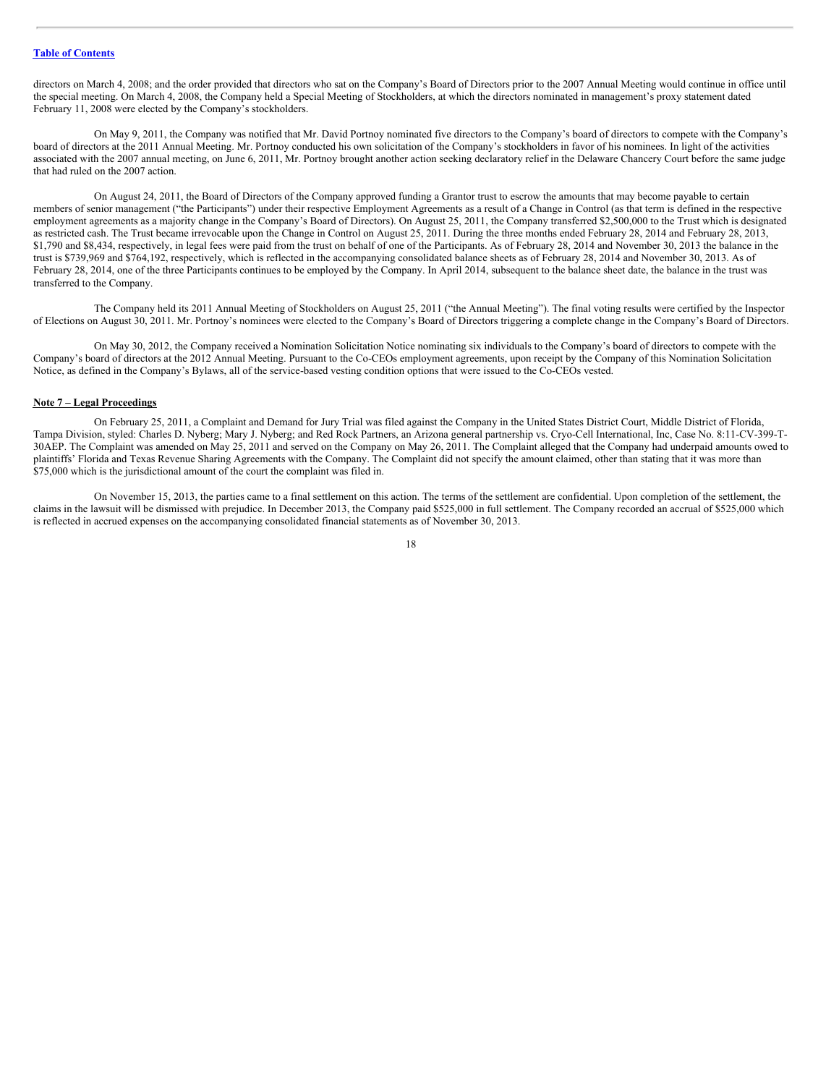directors on March 4, 2008; and the order provided that directors who sat on the Company's Board of Directors prior to the 2007 Annual Meeting would continue in office until the special meeting. On March 4, 2008, the Company held a Special Meeting of Stockholders, at which the directors nominated in management's proxy statement dated February 11, 2008 were elected by the Company's stockholders.

On May 9, 2011, the Company was notified that Mr. David Portnoy nominated five directors to the Company's board of directors to compete with the Company's board of directors at the 2011 Annual Meeting. Mr. Portnoy conducted his own solicitation of the Company's stockholders in favor of his nominees. In light of the activities associated with the 2007 annual meeting, on June 6, 2011, Mr. Portnoy brought another action seeking declaratory relief in the Delaware Chancery Court before the same judge that had ruled on the 2007 action.

On August 24, 2011, the Board of Directors of the Company approved funding a Grantor trust to escrow the amounts that may become payable to certain members of senior management ("the Participants") under their respective Employment Agreements as a result of a Change in Control (as that term is defined in the respective employment agreements as a majority change in the Company's Board of Directors). On August 25, 2011, the Company transferred \$2,500,000 to the Trust which is designated as restricted cash. The Trust became irrevocable upon the Change in Control on August 25, 2011. During the three months ended February 28, 2014 and February 28, 2013, \$1,790 and \$8,434, respectively, in legal fees were paid from the trust on behalf of one of the Participants. As of February 28, 2014 and November 30, 2013 the balance in the trust is \$739,969 and \$764,192, respectively, which is reflected in the accompanying consolidated balance sheets as of February 28, 2014 and November 30, 2013. As of February 28, 2014, one of the three Participants continues to be employed by the Company. In April 2014, subsequent to the balance sheet date, the balance in the trust was transferred to the Company.

The Company held its 2011 Annual Meeting of Stockholders on August 25, 2011 ("the Annual Meeting"). The final voting results were certified by the Inspector of Elections on August 30, 2011. Mr. Portnoy's nominees were elected to the Company's Board of Directors triggering a complete change in the Company's Board of Directors.

On May 30, 2012, the Company received a Nomination Solicitation Notice nominating six individuals to the Company's board of directors to compete with the Company's board of directors at the 2012 Annual Meeting. Pursuant to the Co-CEOs employment agreements, upon receipt by the Company of this Nomination Solicitation Notice, as defined in the Company's Bylaws, all of the service-based vesting condition options that were issued to the Co-CEOs vested.

#### **Note 7 – Legal Proceedings**

On February 25, 2011, a Complaint and Demand for Jury Trial was filed against the Company in the United States District Court, Middle District of Florida, Tampa Division, styled: Charles D. Nyberg; Mary J. Nyberg; and Red Rock Partners, an Arizona general partnership vs. Cryo-Cell International, Inc, Case No. 8:11-CV-399-T-30AEP. The Complaint was amended on May 25, 2011 and served on the Company on May 26, 2011. The Complaint alleged that the Company had underpaid amounts owed to plaintiffs' Florida and Texas Revenue Sharing Agreements with the Company. The Complaint did not specify the amount claimed, other than stating that it was more than \$75,000 which is the jurisdictional amount of the court the complaint was filed in.

On November 15, 2013, the parties came to a final settlement on this action. The terms of the settlement are confidential. Upon completion of the settlement, the claims in the lawsuit will be dismissed with prejudice. In December 2013, the Company paid \$525,000 in full settlement. The Company recorded an accrual of \$525,000 which is reflected in accrued expenses on the accompanying consolidated financial statements as of November 30, 2013.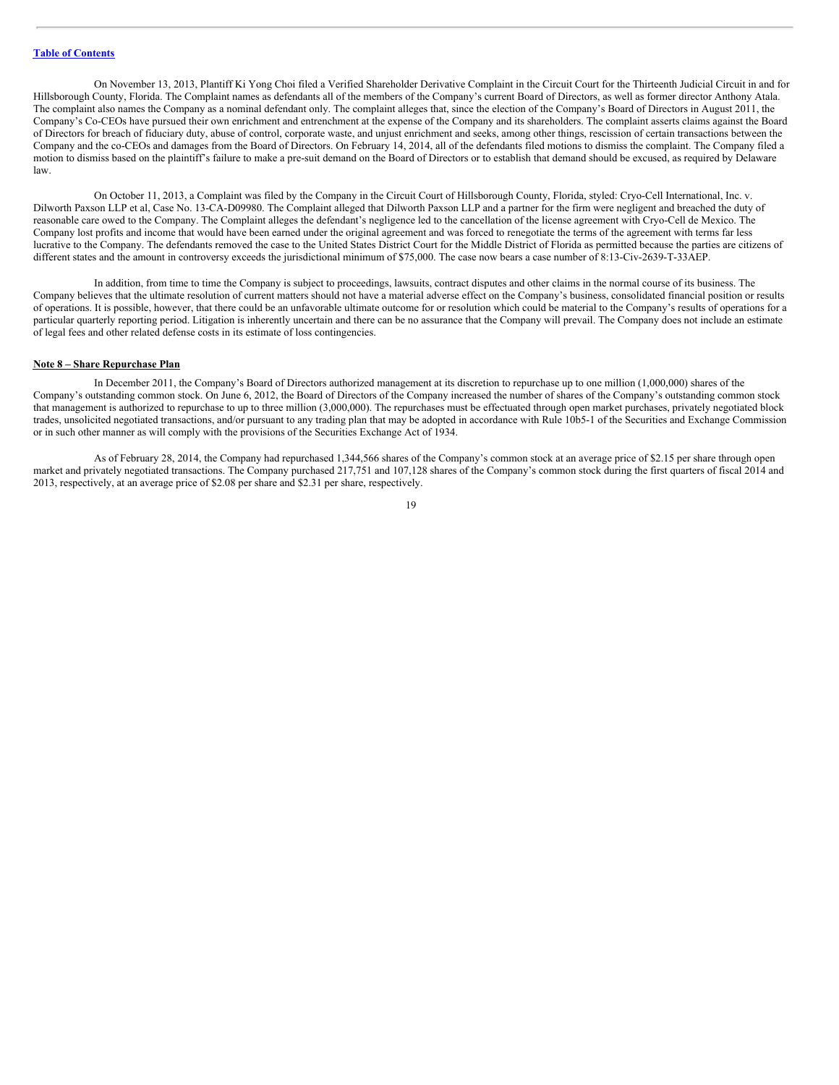On November 13, 2013, Plantiff Ki Yong Choi filed a Verified Shareholder Derivative Complaint in the Circuit Court for the Thirteenth Judicial Circuit in and for Hillsborough County, Florida. The Complaint names as defendants all of the members of the Company's current Board of Directors, as well as former director Anthony Atala. The complaint also names the Company as a nominal defendant only. The complaint alleges that, since the election of the Company's Board of Directors in August 2011, the Company's Co-CEOs have pursued their own enrichment and entrenchment at the expense of the Company and its shareholders. The complaint asserts claims against the Board of Directors for breach of fiduciary duty, abuse of control, corporate waste, and unjust enrichment and seeks, among other things, rescission of certain transactions between the Company and the co-CEOs and damages from the Board of Directors. On February 14, 2014, all of the defendants filed motions to dismiss the complaint. The Company filed a motion to dismiss based on the plaintiff's failure to make a pre-suit demand on the Board of Directors or to establish that demand should be excused, as required by Delaware law.

On October 11, 2013, a Complaint was filed by the Company in the Circuit Court of Hillsborough County, Florida, styled: Cryo-Cell International, Inc. v. Dilworth Paxson LLP et al, Case No. 13-CA-D09980. The Complaint alleged that Dilworth Paxson LLP and a partner for the firm were negligent and breached the duty of reasonable care owed to the Company. The Complaint alleges the defendant's negligence led to the cancellation of the license agreement with Cryo-Cell de Mexico. The Company lost profits and income that would have been earned under the original agreement and was forced to renegotiate the terms of the agreement with terms far less lucrative to the Company. The defendants removed the case to the United States District Court for the Middle District of Florida as permitted because the parties are citizens of different states and the amount in controversy exceeds the jurisdictional minimum of \$75,000. The case now bears a case number of 8:13-Civ-2639-T-33AEP.

In addition, from time to time the Company is subject to proceedings, lawsuits, contract disputes and other claims in the normal course of its business. The Company believes that the ultimate resolution of current matters should not have a material adverse effect on the Company's business, consolidated financial position or results of operations. It is possible, however, that there could be an unfavorable ultimate outcome for or resolution which could be material to the Company's results of operations for a particular quarterly reporting period. Litigation is inherently uncertain and there can be no assurance that the Company will prevail. The Company does not include an estimate of legal fees and other related defense costs in its estimate of loss contingencies.

#### **Note 8 – Share Repurchase Plan**

In December 2011, the Company's Board of Directors authorized management at its discretion to repurchase up to one million (1,000,000) shares of the Company's outstanding common stock. On June 6, 2012, the Board of Directors of the Company increased the number of shares of the Company's outstanding common stock that management is authorized to repurchase to up to three million (3,000,000). The repurchases must be effectuated through open market purchases, privately negotiated block trades, unsolicited negotiated transactions, and/or pursuant to any trading plan that may be adopted in accordance with Rule 10b5-1 of the Securities and Exchange Commission or in such other manner as will comply with the provisions of the Securities Exchange Act of 1934.

As of February 28, 2014, the Company had repurchased 1,344,566 shares of the Company's common stock at an average price of \$2.15 per share through open market and privately negotiated transactions. The Company purchased 217,751 and 107,128 shares of the Company's common stock during the first quarters of fiscal 2014 and 2013, respectively, at an average price of \$2.08 per share and \$2.31 per share, respectively.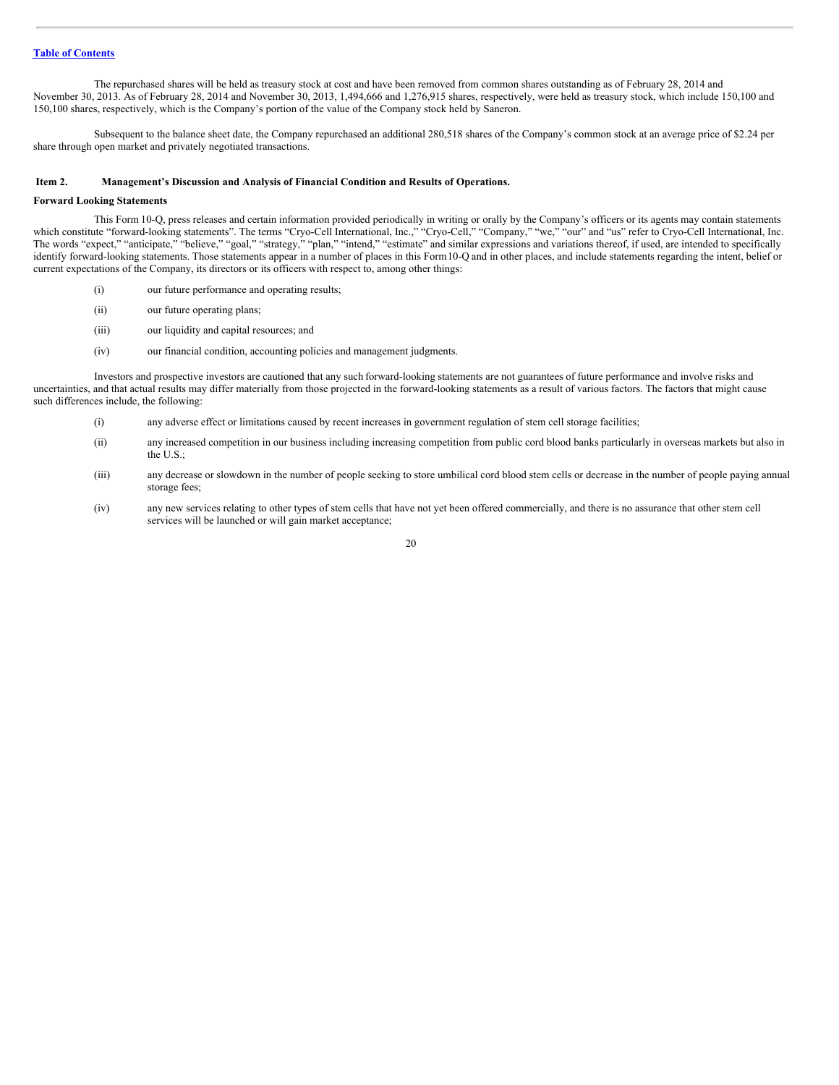The repurchased shares will be held as treasury stock at cost and have been removed from common shares outstanding as of February 28, 2014 and November 30, 2013. As of February 28, 2014 and November 30, 2013, 1,494,666 and 1,276,915 shares, respectively, were held as treasury stock, which include 150,100 and 150,100 shares, respectively, which is the Company's portion of the value of the Company stock held by Saneron.

Subsequent to the balance sheet date, the Company repurchased an additional 280,518 shares of the Company's common stock at an average price of \$2.24 per share through open market and privately negotiated transactions.

#### <span id="page-19-0"></span>**Item 2. Management's Discussion and Analysis of Financial Condition and Results of Operations.**

#### **Forward Looking Statements**

This Form 10-Q, press releases and certain information provided periodically in writing or orally by the Company's officers or its agents may contain statements which constitute "forward-looking statements". The terms "Cryo-Cell International, Inc.," "Cryo-Cell," "Company," "we," "our" and "us" refer to Cryo-Cell International, Inc. The words "expect," "anticipate," "believe," "goal," "strategy," "plan," "intend," "estimate" and similar expressions and variations thereof, if used, are intended to specifically identify forward-looking statements. Those statements appear in a number of places in this Form10-Q and in other places, and include statements regarding the intent, belief or current expectations of the Company, its directors or its officers with respect to, among other things:

- (i) our future performance and operating results;
- (ii) our future operating plans;
- (iii) our liquidity and capital resources; and
- (iv) our financial condition, accounting policies and management judgments.

Investors and prospective investors are cautioned that any such forward-looking statements are not guarantees of future performance and involve risks and uncertainties, and that actual results may differ materially from those projected in the forward-looking statements as a result of various factors. The factors that might cause such differences include, the following:

- (i) any adverse effect or limitations caused by recent increases in government regulation of stem cell storage facilities;
- (ii) any increased competition in our business including increasing competition from public cord blood banks particularly in overseas markets but also in the U.S.;
- (iii) any decrease or slowdown in the number of people seeking to store umbilical cord blood stem cells or decrease in the number of people paying annual storage fees;
- (iv) any new services relating to other types of stem cells that have not yet been offered commercially, and there is no assurance that other stem cell services will be launched or will gain market acceptance;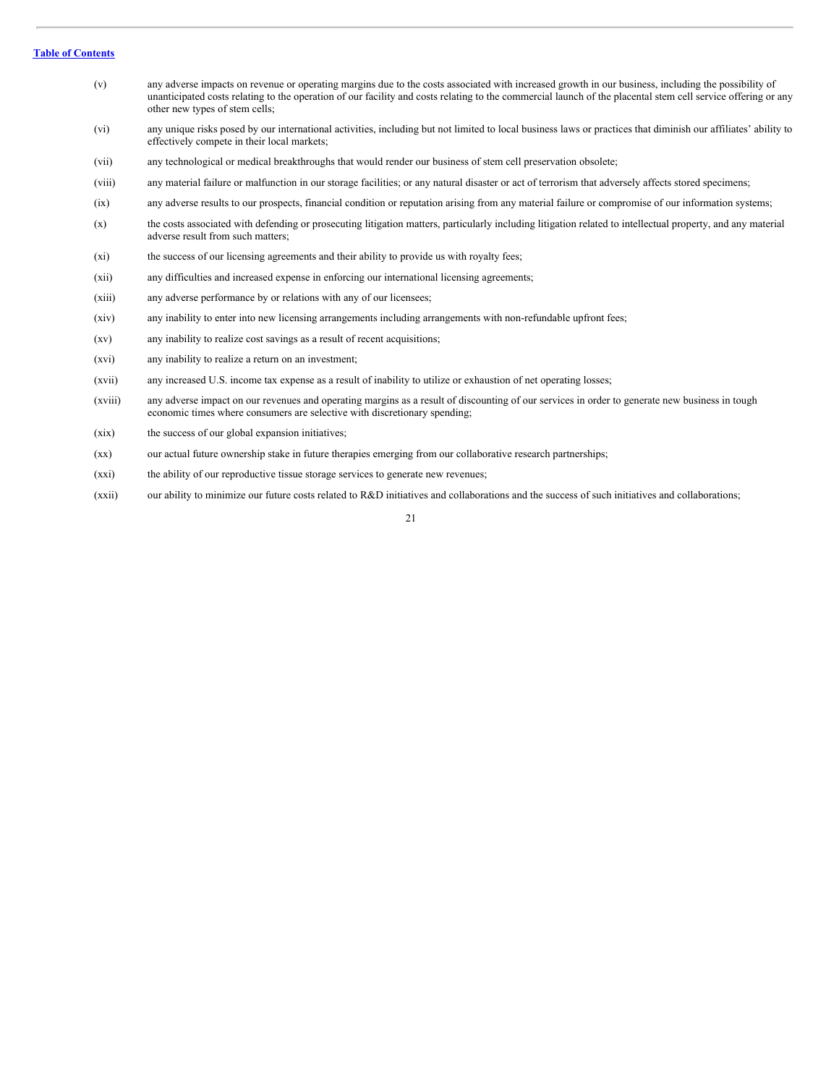- (v) any adverse impacts on revenue or operating margins due to the costs associated with increased growth in our business, including the possibility of unanticipated costs relating to the operation of our facility and costs relating to the commercial launch of the placental stem cell service offering or any other new types of stem cells;
- (vi) any unique risks posed by our international activities, including but not limited to local business laws or practices that diminish our affiliates' ability to effectively compete in their local markets;
- (vii) any technological or medical breakthroughs that would render our business of stem cell preservation obsolete;
- (viii) any material failure or malfunction in our storage facilities; or any natural disaster or act of terrorism that adversely affects stored specimens;
- (ix) any adverse results to our prospects, financial condition or reputation arising from any material failure or compromise of our information systems;
- (x) the costs associated with defending or prosecuting litigation matters, particularly including litigation related to intellectual property, and any material adverse result from such matters;
- (xi) the success of our licensing agreements and their ability to provide us with royalty fees;
- (xii) any difficulties and increased expense in enforcing our international licensing agreements;
- (xiii) any adverse performance by or relations with any of our licensees;
- (xiv) any inability to enter into new licensing arrangements including arrangements with non-refundable upfront fees;
- (xv) any inability to realize cost savings as a result of recent acquisitions;
- (xvi) any inability to realize a return on an investment;
- (xvii) any increased U.S. income tax expense as a result of inability to utilize or exhaustion of net operating losses;
- (xviii) any adverse impact on our revenues and operating margins as a result of discounting of our services in order to generate new business in tough economic times where consumers are selective with discretionary spending;
- (xix) the success of our global expansion initiatives;
- (xx) our actual future ownership stake in future therapies emerging from our collaborative research partnerships;
- (xxi) the ability of our reproductive tissue storage services to generate new revenues;
- (xxii) our ability to minimize our future costs related to R&D initiatives and collaborations and the success of such initiatives and collaborations;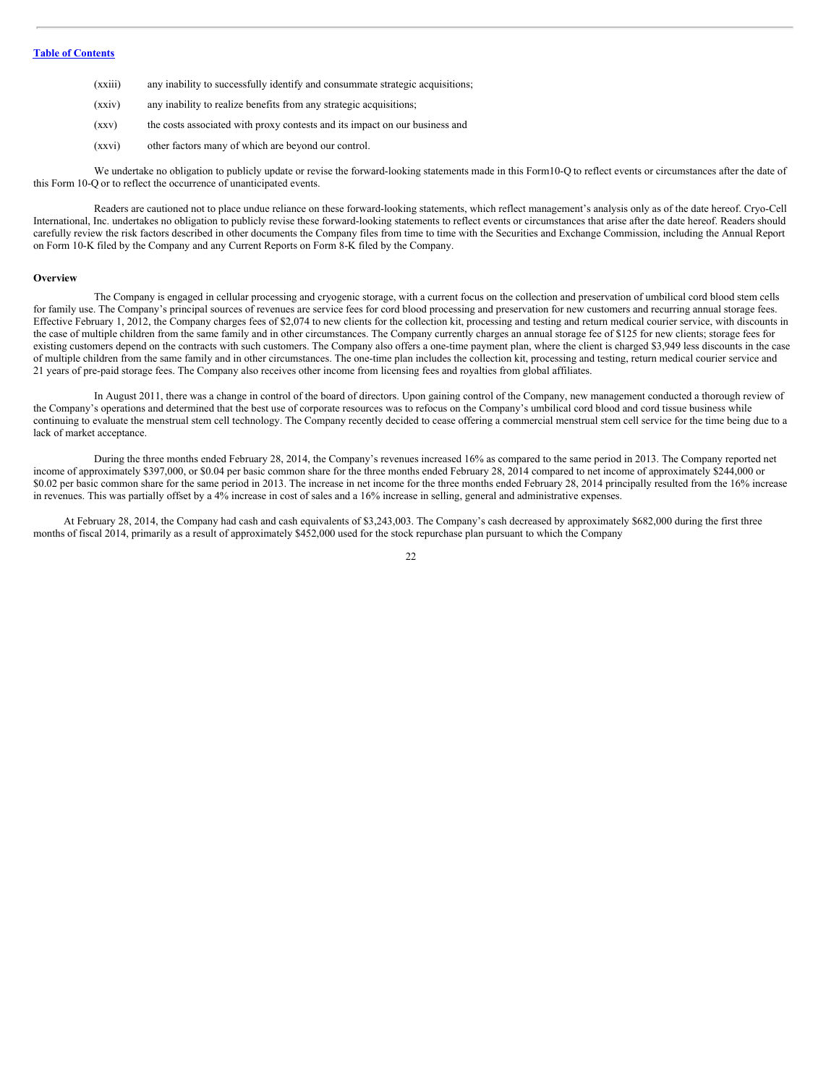- (xxiii) any inability to successfully identify and consummate strategic acquisitions;
- (xxiv) any inability to realize benefits from any strategic acquisitions;
- (xxv) the costs associated with proxy contests and its impact on our business and
- (xxvi) other factors many of which are beyond our control.

We undertake no obligation to publicly update or revise the forward-looking statements made in this Form10-Q to reflect events or circumstances after the date of this Form 10-Q or to reflect the occurrence of unanticipated events.

Readers are cautioned not to place undue reliance on these forward-looking statements, which reflect management's analysis only as of the date hereof. Cryo-Cell International, Inc. undertakes no obligation to publicly revise these forward-looking statements to reflect events or circumstances that arise after the date hereof. Readers should carefully review the risk factors described in other documents the Company files from time to time with the Securities and Exchange Commission, including the Annual Report on Form 10-K filed by the Company and any Current Reports on Form 8-K filed by the Company.

#### **Overview**

The Company is engaged in cellular processing and cryogenic storage, with a current focus on the collection and preservation of umbilical cord blood stem cells for family use. The Company's principal sources of revenues are service fees for cord blood processing and preservation for new customers and recurring annual storage fees. Effective February 1, 2012, the Company charges fees of \$2,074 to new clients for the collection kit, processing and testing and return medical courier service, with discounts in the case of multiple children from the same family and in other circumstances. The Company currently charges an annual storage fee of \$125 for new clients; storage fees for existing customers depend on the contracts with such customers. The Company also offers a one-time payment plan, where the client is charged \$3,949 less discounts in the case of multiple children from the same family and in other circumstances. The one-time plan includes the collection kit, processing and testing, return medical courier service and 21 years of pre-paid storage fees. The Company also receives other income from licensing fees and royalties from global affiliates.

In August 2011, there was a change in control of the board of directors. Upon gaining control of the Company, new management conducted a thorough review of the Company's operations and determined that the best use of corporate resources was to refocus on the Company's umbilical cord blood and cord tissue business while continuing to evaluate the menstrual stem cell technology. The Company recently decided to cease offering a commercial menstrual stem cell service for the time being due to a lack of market acceptance.

During the three months ended February 28, 2014, the Company's revenues increased 16% as compared to the same period in 2013. The Company reported net income of approximately \$397,000, or \$0.04 per basic common share for the three months ended February 28, 2014 compared to net income of approximately \$244,000 or \$0.02 per basic common share for the same period in 2013. The increase in net income for the three months ended February 28, 2014 principally resulted from the 16% increase in revenues. This was partially offset by a 4% increase in cost of sales and a 16% increase in selling, general and administrative expenses.

At February 28, 2014, the Company had cash and cash equivalents of \$3,243,003. The Company's cash decreased by approximately \$682,000 during the first three months of fiscal 2014, primarily as a result of approximately \$452,000 used for the stock repurchase plan pursuant to which the Company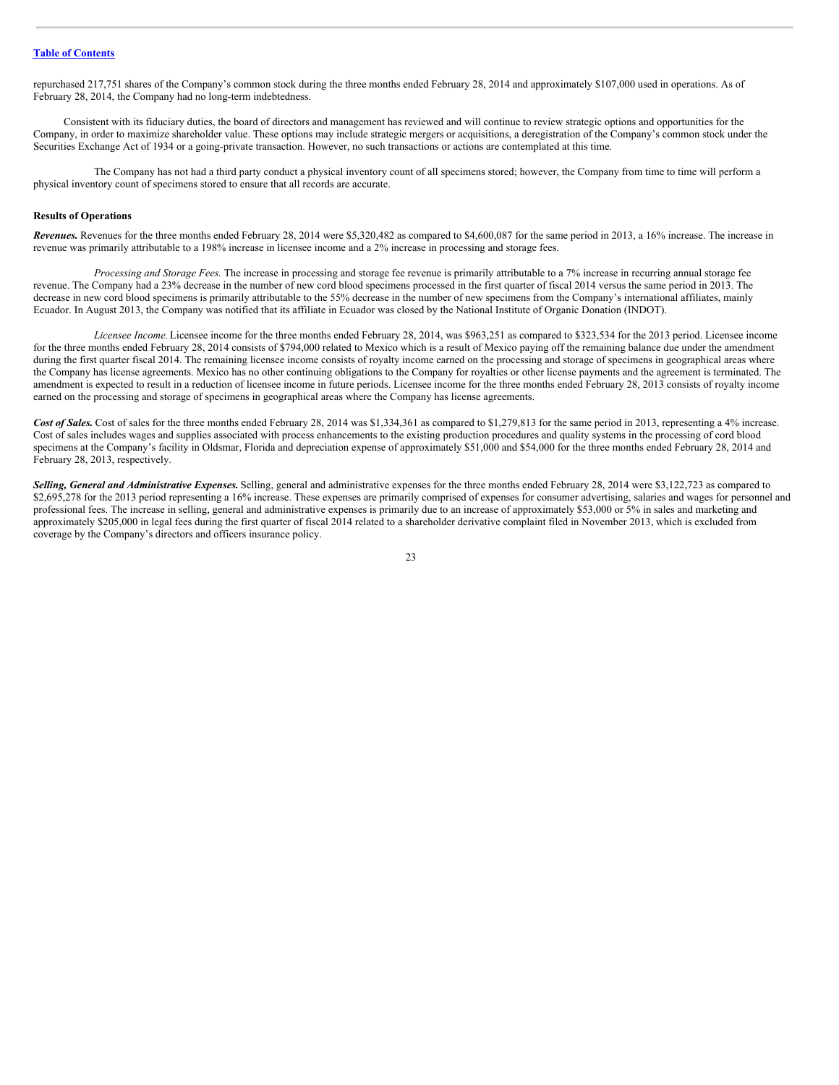repurchased 217,751 shares of the Company's common stock during the three months ended February 28, 2014 and approximately \$107,000 used in operations. As of February 28, 2014, the Company had no long-term indebtedness.

Consistent with its fiduciary duties, the board of directors and management has reviewed and will continue to review strategic options and opportunities for the Company, in order to maximize shareholder value. These options may include strategic mergers or acquisitions, a deregistration of the Company's common stock under the Securities Exchange Act of 1934 or a going-private transaction. However, no such transactions or actions are contemplated at this time.

The Company has not had a third party conduct a physical inventory count of all specimens stored; however, the Company from time to time will perform a physical inventory count of specimens stored to ensure that all records are accurate.

#### **Results of Operations**

*Revenues.* Revenues for the three months ended February 28, 2014 were \$5,320,482 as compared to \$4,600,087 for the same period in 2013, a 16% increase. The increase in revenue was primarily attributable to a 198% increase in licensee income and a 2% increase in processing and storage fees.

*Processing and Storage Fees.* The increase in processing and storage fee revenue is primarily attributable to a 7% increase in recurring annual storage fee revenue. The Company had a 23% decrease in the number of new cord blood specimens processed in the first quarter of fiscal 2014 versus the same period in 2013. The decrease in new cord blood specimens is primarily attributable to the 55% decrease in the number of new specimens from the Company's international affiliates, mainly Ecuador. In August 2013, the Company was notified that its affiliate in Ecuador was closed by the National Institute of Organic Donation (INDOT).

*Licensee Income.* Licensee income for the three months ended February 28, 2014, was \$963,251 as compared to \$323,534 for the 2013 period. Licensee income for the three months ended February 28, 2014 consists of \$794,000 related to Mexico which is a result of Mexico paying off the remaining balance due under the amendment during the first quarter fiscal 2014. The remaining licensee income consists of royalty income earned on the processing and storage of specimens in geographical areas where the Company has license agreements. Mexico has no other continuing obligations to the Company for royalties or other license payments and the agreement is terminated. The amendment is expected to result in a reduction of licensee income in future periods. Licensee income for the three months ended February 28, 2013 consists of royalty income earned on the processing and storage of specimens in geographical areas where the Company has license agreements.

Cost of Sales. Cost of sales for the three months ended February 28, 2014 was \$1,334,361 as compared to \$1,279,813 for the same period in 2013, representing a 4% increase. Cost of sales includes wages and supplies associated with process enhancements to the existing production procedures and quality systems in the processing of cord blood specimens at the Company's facility in Oldsmar, Florida and depreciation expense of approximately \$51,000 and \$54,000 for the three months ended February 28, 2014 and February 28, 2013, respectively.

*Selling, General and Administrative Expenses.* Selling, general and administrative expenses for the three months ended February 28, 2014 were \$3,122,723 as compared to \$2,695,278 for the 2013 period representing a 16% increase. These expenses are primarily comprised of expenses for consumer advertising, salaries and wages for personnel and professional fees. The increase in selling, general and administrative expenses is primarily due to an increase of approximately \$53,000 or 5% in sales and marketing and approximately \$205,000 in legal fees during the first quarter of fiscal 2014 related to a shareholder derivative complaint filed in November 2013, which is excluded from coverage by the Company's directors and officers insurance policy.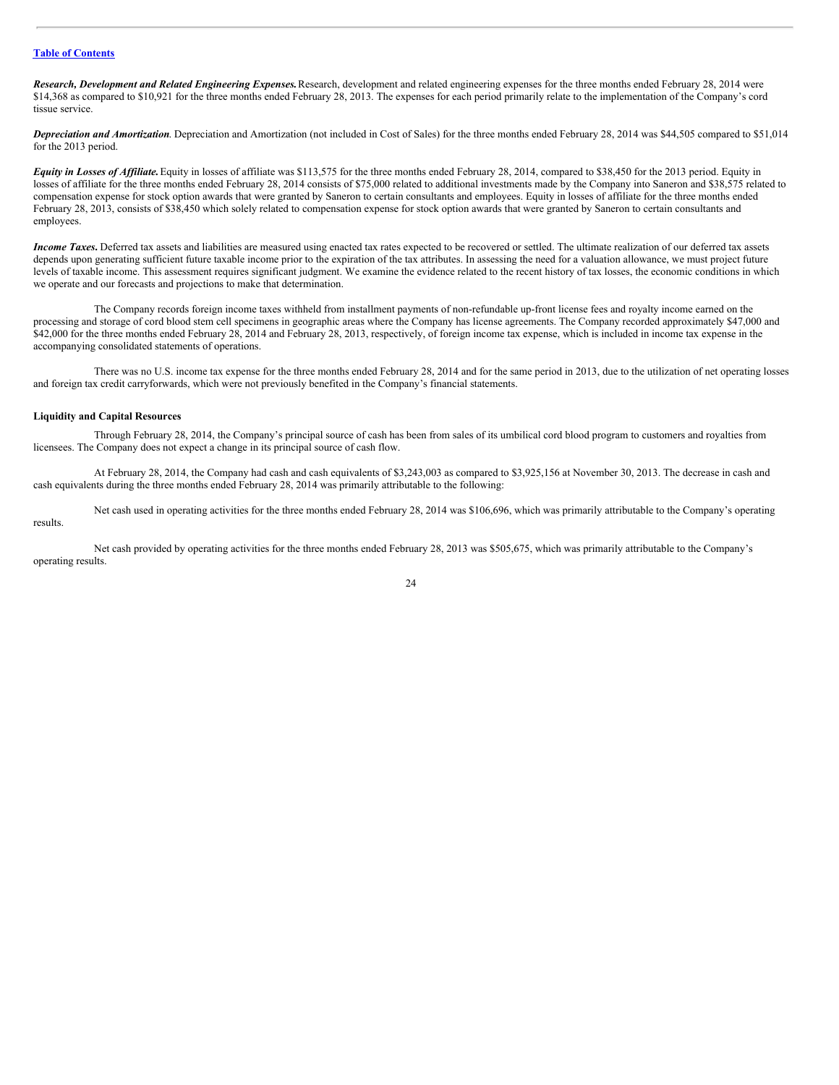*Research, Development and Related Engineering Expenses.*Research, development and related engineering expenses for the three months ended February 28, 2014 were \$14,368 as compared to \$10,921 for the three months ended February 28, 2013. The expenses for each period primarily relate to the implementation of the Company's cord tissue service.

*Depreciation and Amortization*. Depreciation and Amortization (not included in Cost of Sales) for the three months ended February 28, 2014 was \$44,505 compared to \$51,014 for the 2013 period.

*Equity in Losses of Af iliate.*Equity in losses of affiliate was \$113,575 for the three months ended February 28, 2014, compared to \$38,450 for the 2013 period. Equity in losses of affiliate for the three months ended February 28, 2014 consists of \$75,000 related to additional investments made by the Company into Saneron and \$38,575 related to compensation expense for stock option awards that were granted by Saneron to certain consultants and employees. Equity in losses of affiliate for the three months ended February 28, 2013, consists of \$38,450 which solely related to compensation expense for stock option awards that were granted by Saneron to certain consultants and employees.

*Income Taxes***.** Deferred tax assets and liabilities are measured using enacted tax rates expected to be recovered or settled. The ultimate realization of our deferred tax assets depends upon generating sufficient future taxable income prior to the expiration of the tax attributes. In assessing the need for a valuation allowance, we must project future levels of taxable income. This assessment requires significant judgment. We examine the evidence related to the recent history of tax losses, the economic conditions in which we operate and our forecasts and projections to make that determination.

The Company records foreign income taxes withheld from installment payments of non-refundable up-front license fees and royalty income earned on the processing and storage of cord blood stem cell specimens in geographic areas where the Company has license agreements. The Company recorded approximately \$47,000 and \$42,000 for the three months ended February 28, 2014 and February 28, 2013, respectively, of foreign income tax expense, which is included in income tax expense in the accompanying consolidated statements of operations.

There was no U.S. income tax expense for the three months ended February 28, 2014 and for the same period in 2013, due to the utilization of net operating losses and foreign tax credit carryforwards, which were not previously benefited in the Company's financial statements.

#### **Liquidity and Capital Resources**

Through February 28, 2014, the Company's principal source of cash has been from sales of its umbilical cord blood program to customers and royalties from licensees. The Company does not expect a change in its principal source of cash flow.

At February 28, 2014, the Company had cash and cash equivalents of \$3,243,003 as compared to \$3,925,156 at November 30, 2013. The decrease in cash and cash equivalents during the three months ended February 28, 2014 was primarily attributable to the following:

Net cash used in operating activities for the three months ended February 28, 2014 was \$106,696, which was primarily attributable to the Company's operating results.

Net cash provided by operating activities for the three months ended February 28, 2013 was \$505,675, which was primarily attributable to the Company's operating results.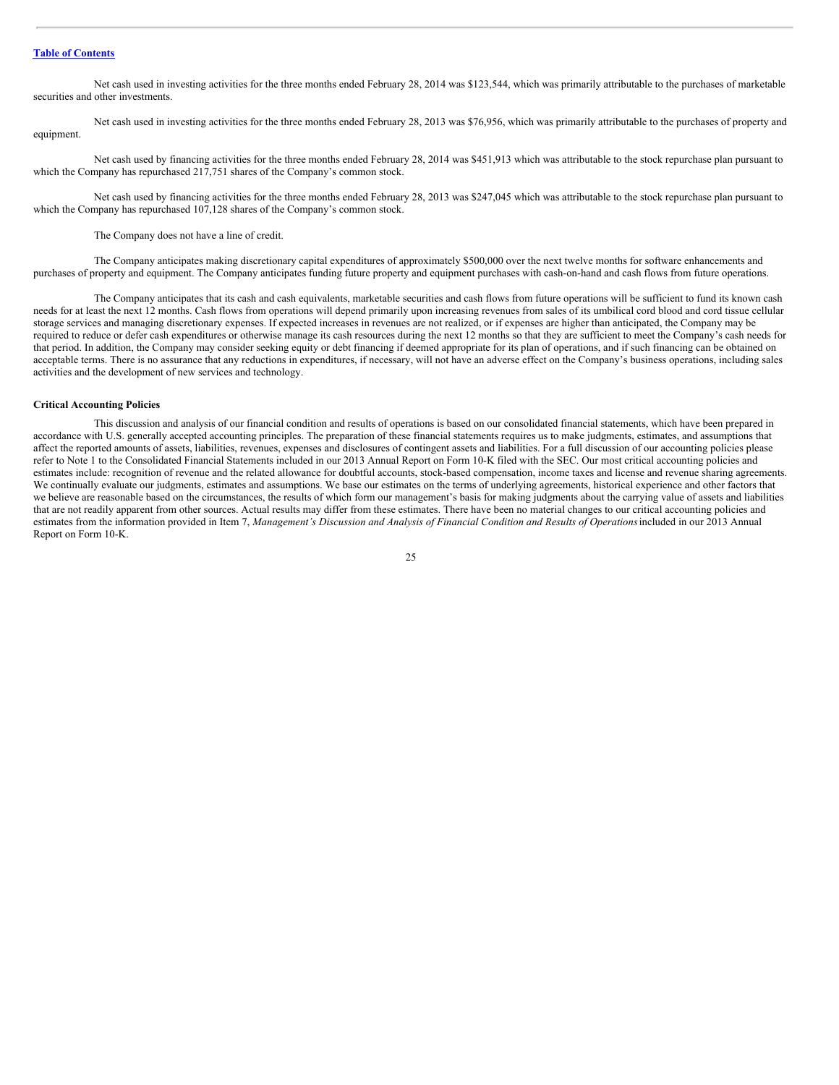Net cash used in investing activities for the three months ended February 28, 2014 was \$123,544, which was primarily attributable to the purchases of marketable securities and other investments.

Net cash used in investing activities for the three months ended February 28, 2013 was \$76,956, which was primarily attributable to the purchases of property and equipment.

Net cash used by financing activities for the three months ended February 28, 2014 was \$451,913 which was attributable to the stock repurchase plan pursuant to which the Company has repurchased 217,751 shares of the Company's common stock.

Net cash used by financing activities for the three months ended February 28, 2013 was \$247,045 which was attributable to the stock repurchase plan pursuant to which the Company has repurchased 107,128 shares of the Company's common stock.

The Company does not have a line of credit.

The Company anticipates making discretionary capital expenditures of approximately \$500,000 over the next twelve months for software enhancements and purchases of property and equipment. The Company anticipates funding future property and equipment purchases with cash-on-hand and cash flows from future operations.

The Company anticipates that its cash and cash equivalents, marketable securities and cash flows from future operations will be sufficient to fund its known cash needs for at least the next 12 months. Cash flows from operations will depend primarily upon increasing revenues from sales of its umbilical cord blood and cord tissue cellular storage services and managing discretionary expenses. If expected increases in revenues are not realized, or if expenses are higher than anticipated, the Company may be required to reduce or defer cash expenditures or otherwise manage its cash resources during the next 12 months so that they are sufficient to meet the Company's cash needs for that period. In addition, the Company may consider seeking equity or debt financing if deemed appropriate for its plan of operations, and if such financing can be obtained on acceptable terms. There is no assurance that any reductions in expenditures, if necessary, will not have an adverse effect on the Company's business operations, including sales activities and the development of new services and technology.

#### **Critical Accounting Policies**

This discussion and analysis of our financial condition and results of operations is based on our consolidated financial statements, which have been prepared in accordance with U.S. generally accepted accounting principles. The preparation of these financial statements requires us to make judgments, estimates, and assumptions that affect the reported amounts of assets, liabilities, revenues, expenses and disclosures of contingent assets and liabilities. For a full discussion of our accounting policies please refer to Note 1 to the Consolidated Financial Statements included in our 2013 Annual Report on Form 10-K filed with the SEC. Our most critical accounting policies and estimates include: recognition of revenue and the related allowance for doubtful accounts, stock-based compensation, income taxes and license and revenue sharing agreements. We continually evaluate our judgments, estimates and assumptions. We base our estimates on the terms of underlying agreements, historical experience and other factors that we believe are reasonable based on the circumstances, the results of which form our management's basis for making judgments about the carrying value of assets and liabilities that are not readily apparent from other sources. Actual results may differ from these estimates. There have been no material changes to our critical accounting policies and estimates from the information provided in Item 7, Management's Discussion and Analysis of Financial Condition and Results of Operations included in our 2013 Annual Report on Form 10-K.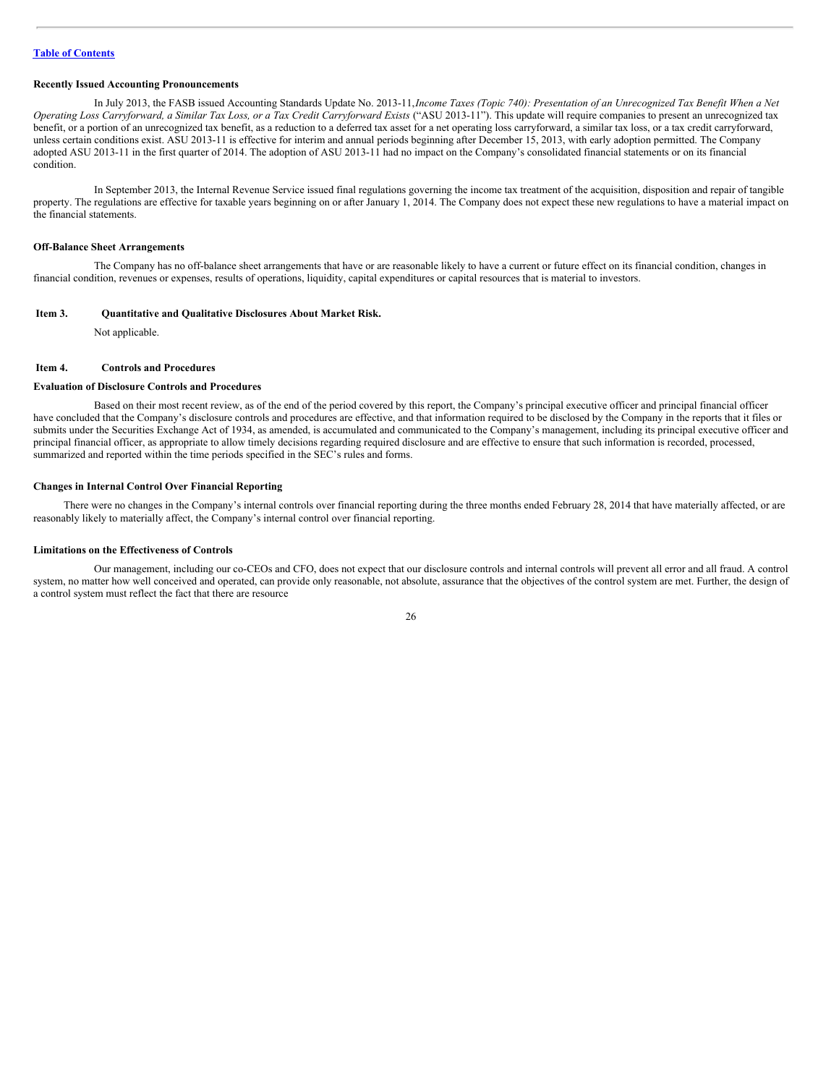#### **Recently Issued Accounting Pronouncements**

In July 2013, the FASB issued Accounting Standards Update No. 2013-11, Income Taxes (Topic 740): Presentation of an Unrecognized Tax Benefit When a Net Operating Loss Carryforward, a Similar Tax Loss, or a Tax Credit Carryforward Exists ("ASU 2013-11"). This update will require companies to present an unrecognized tax benefit, or a portion of an unrecognized tax benefit, as a reduction to a deferred tax asset for a net operating loss carryforward, a similar tax loss, or a tax credit carryforward, unless certain conditions exist. ASU 2013-11 is effective for interim and annual periods beginning after December 15, 2013, with early adoption permitted. The Company adopted ASU 2013-11 in the first quarter of 2014. The adoption of ASU 2013-11 had no impact on the Company's consolidated financial statements or on its financial condition.

In September 2013, the Internal Revenue Service issued final regulations governing the income tax treatment of the acquisition, disposition and repair of tangible property. The regulations are effective for taxable years beginning on or after January 1, 2014. The Company does not expect these new regulations to have a material impact on the financial statements.

#### **Off-Balance Sheet Arrangements**

The Company has no off-balance sheet arrangements that have or are reasonable likely to have a current or future effect on its financial condition, changes in financial condition, revenues or expenses, results of operations, liquidity, capital expenditures or capital resources that is material to investors.

#### <span id="page-25-0"></span>**Item 3. Quantitative and Qualitative Disclosures About Market Risk.**

Not applicable.

#### <span id="page-25-1"></span>**Item 4. Controls and Procedures**

#### **Evaluation of Disclosure Controls and Procedures**

Based on their most recent review, as of the end of the period covered by this report, the Company's principal executive officer and principal financial officer have concluded that the Company's disclosure controls and procedures are effective, and that information required to be disclosed by the Company in the reports that it files or submits under the Securities Exchange Act of 1934, as amended, is accumulated and communicated to the Company's management, including its principal executive officer and principal financial officer, as appropriate to allow timely decisions regarding required disclosure and are effective to ensure that such information is recorded, processed, summarized and reported within the time periods specified in the SEC's rules and forms.

#### **Changes in Internal Control Over Financial Reporting**

There were no changes in the Company's internal controls over financial reporting during the three months ended February 28, 2014 that have materially affected, or are reasonably likely to materially affect, the Company's internal control over financial reporting.

#### **Limitations on the Effectiveness of Controls**

Our management, including our co-CEOs and CFO, does not expect that our disclosure controls and internal controls will prevent all error and all fraud. A control system, no matter how well conceived and operated, can provide only reasonable, not absolute, assurance that the objectives of the control system are met. Further, the design of a control system must reflect the fact that there are resource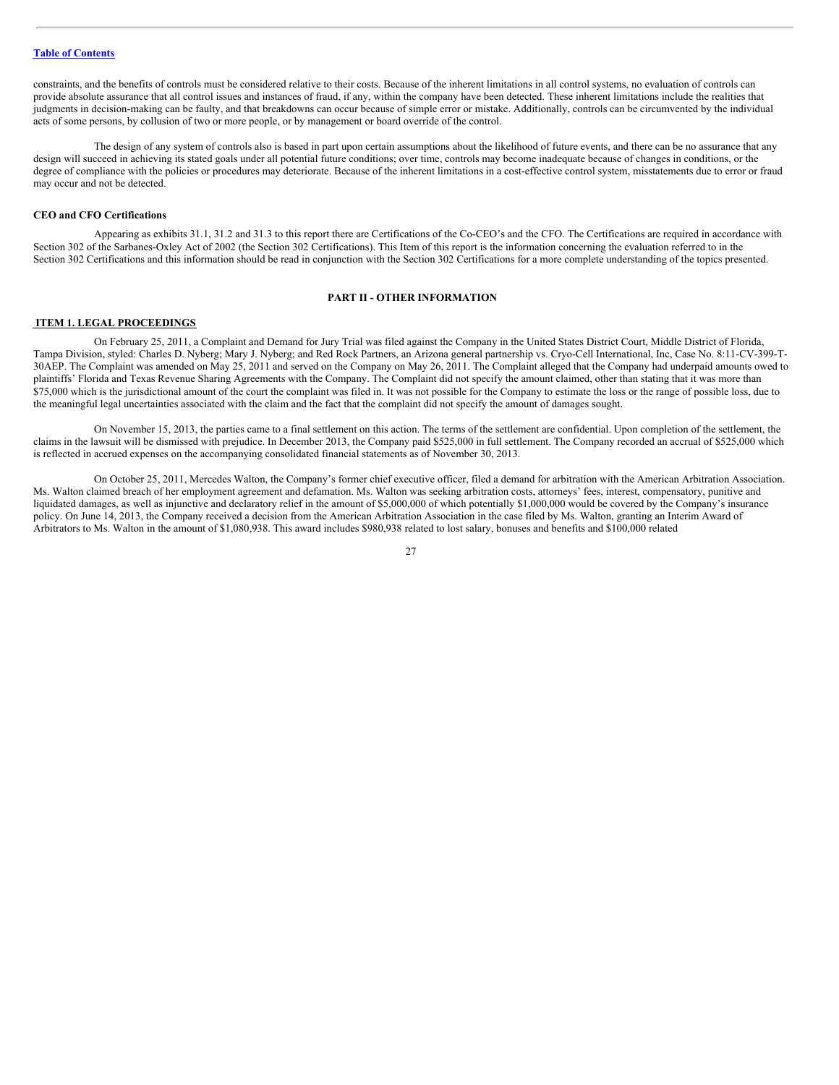constraints, and the benefits of controls must be considered relative to their costs. Because of the inherent limitations in all control systems, no evaluation of controls can provide absolute assurance that all control issues and instances of fraud, if any, within the company have been detected. These inherent limitations include the realities that judgments in decision-making can be faulty, and that breakdowns can occur because of simple error or mistake. Additionally, controls can be circumvented by the individual acts of some persons, by collusion of two or more people, or by management or board override of the control.

The design of any system of controls also is based in part upon certain assumptions about the likelihood of future events, and there can be no assurance that any design will succeed in achieving its stated goals under all potential future conditions; over time, controls may become inadequate because of changes in conditions, or the degree of compliance with the policies or procedures may deteriorate. Because of the inherent limitations in a cost-effective control system, misstatements due to error or fraud may occur and not be detected.

#### **CEO and CFO Certifications**

Appearing as exhibits 31.1, 31.2 and 31.3 to this report there are Certifications of the Co-CEO's and the CFO. The Certifications are required in accordance with Section 302 of the Sarbanes-Oxley Act of 2002 (the Section 302 Certifications). This Item of this report is the information concerning the evaluation referred to in the Section 302 Certifications and this information should be read in conjunction with the Section 302 Certifications for a more complete understanding of the topics presented.

#### <span id="page-26-0"></span>**PART II - OTHER INFORMATION**

#### <span id="page-26-1"></span>**ITEM 1. LEGAL PROCEEDINGS**

On February 25, 2011, a Complaint and Demand for Jury Trial was filed against the Company in the United States District Court, Middle District of Florida, Tampa Division, styled: Charles D. Nyberg; Mary J. Nyberg; and Red Rock Partners, an Arizona general partnership vs. Cryo-Cell International, Inc, Case No. 8:11-CV-399-T-30AEP. The Complaint was amended on May 25, 2011 and served on the Company on May 26, 2011. The Complaint alleged that the Company had underpaid amounts owed to plaintiffs' Florida and Texas Revenue Sharing Agreements with the Company. The Complaint did not specify the amount claimed, other than stating that it was more than \$75,000 which is the jurisdictional amount of the court the complaint was filed in. It was not possible for the Company to estimate the loss or the range of possible loss, due to the meaningful legal uncertainties associated with the claim and the fact that the complaint did not specify the amount of damages sought.

On November 15, 2013, the parties came to a final settlement on this action. The terms of the settlement are confidential. Upon completion of the settlement, the claims in the lawsuit will be dismissed with prejudice. In December 2013, the Company paid \$525,000 in full settlement. The Company recorded an accrual of \$525,000 which is reflected in accrued expenses on the accompanying consolidated financial statements as of November 30, 2013.

On October 25, 2011, Mercedes Walton, the Company's former chief executive officer, filed a demand for arbitration with the American Arbitration Association. Ms. Walton claimed breach of her employment agreement and defamation. Ms. Walton was seeking arbitration costs, attorneys' fees, interest, compensatory, punitive and liquidated damages, as well as injunctive and declaratory relief in the amount of \$5,000,000 of which potentially \$1,000,000 would be covered by the Company's insurance policy. On June 14, 2013, the Company received a decision from the American Arbitration Association in the case filed by Ms. Walton, granting an Interim Award of Arbitrators to Ms. Walton in the amount of \$1,080,938. This award includes \$980,938 related to lost salary, bonuses and benefits and \$100,000 related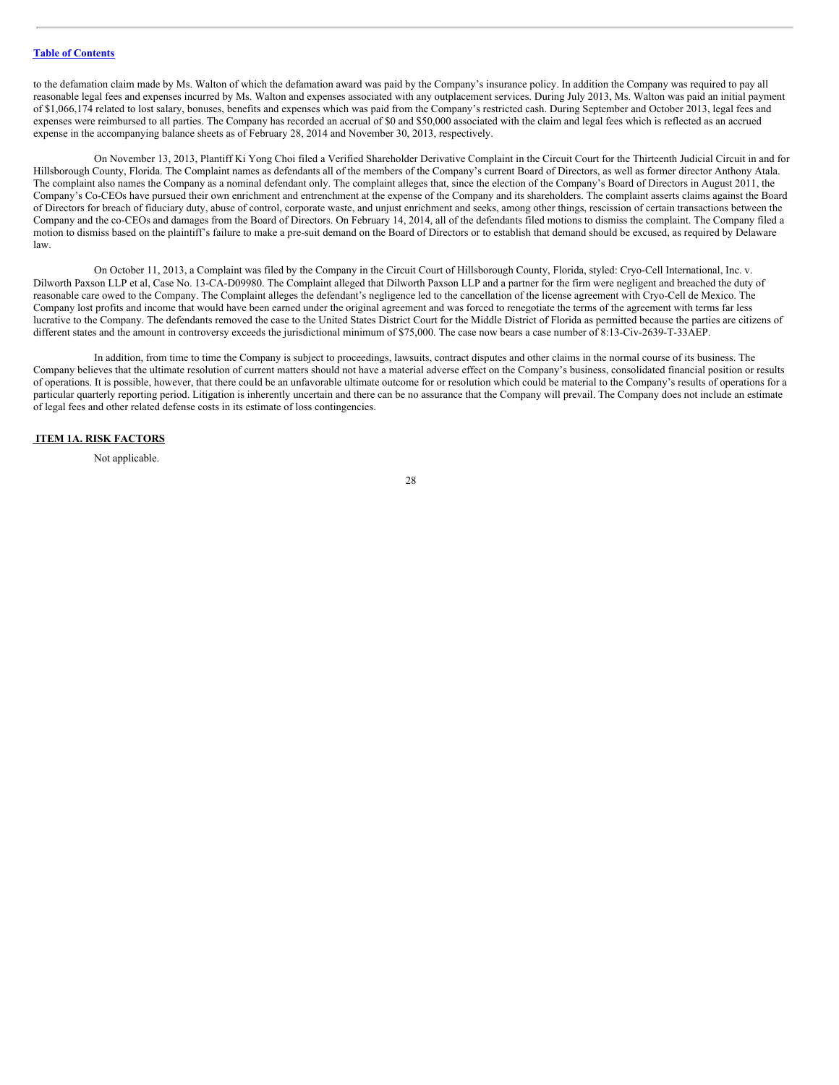to the defamation claim made by Ms. Walton of which the defamation award was paid by the Company's insurance policy. In addition the Company was required to pay all reasonable legal fees and expenses incurred by Ms. Walton and expenses associated with any outplacement services. During July 2013, Ms. Walton was paid an initial payment of \$1,066,174 related to lost salary, bonuses, benefits and expenses which was paid from the Company's restricted cash. During September and October 2013, legal fees and expenses were reimbursed to all parties. The Company has recorded an accrual of \$0 and \$50,000 associated with the claim and legal fees which is reflected as an accrued expense in the accompanying balance sheets as of February 28, 2014 and November 30, 2013, respectively.

On November 13, 2013, Plantiff Ki Yong Choi filed a Verified Shareholder Derivative Complaint in the Circuit Court for the Thirteenth Judicial Circuit in and for Hillsborough County, Florida. The Complaint names as defendants all of the members of the Company's current Board of Directors, as well as former director Anthony Atala. The complaint also names the Company as a nominal defendant only. The complaint alleges that, since the election of the Company's Board of Directors in August 2011, the Company's Co-CEOs have pursued their own enrichment and entrenchment at the expense of the Company and its shareholders. The complaint asserts claims against the Board of Directors for breach of fiduciary duty, abuse of control, corporate waste, and unjust enrichment and seeks, among other things, rescission of certain transactions between the Company and the co-CEOs and damages from the Board of Directors. On February 14, 2014, all of the defendants filed motions to dismiss the complaint. The Company filed a motion to dismiss based on the plaintiff's failure to make a pre-suit demand on the Board of Directors or to establish that demand should be excused, as required by Delaware law.

On October 11, 2013, a Complaint was filed by the Company in the Circuit Court of Hillsborough County, Florida, styled: Cryo-Cell International, Inc. v. Dilworth Paxson LLP et al, Case No. 13-CA-D09980. The Complaint alleged that Dilworth Paxson LLP and a partner for the firm were negligent and breached the duty of reasonable care owed to the Company. The Complaint alleges the defendant's negligence led to the cancellation of the license agreement with Cryo-Cell de Mexico. The Company lost profits and income that would have been earned under the original agreement and was forced to renegotiate the terms of the agreement with terms far less lucrative to the Company. The defendants removed the case to the United States District Court for the Middle District of Florida as permitted because the parties are citizens of different states and the amount in controversy exceeds the jurisdictional minimum of \$75,000. The case now bears a case number of 8:13-Civ-2639-T-33AEP.

In addition, from time to time the Company is subject to proceedings, lawsuits, contract disputes and other claims in the normal course of its business. The Company believes that the ultimate resolution of current matters should not have a material adverse effect on the Company's business, consolidated financial position or results of operations. It is possible, however, that there could be an unfavorable ultimate outcome for or resolution which could be material to the Company's results of operations for a particular quarterly reporting period. Litigation is inherently uncertain and there can be no assurance that the Company will prevail. The Company does not include an estimate of legal fees and other related defense costs in its estimate of loss contingencies.

#### <span id="page-27-0"></span>**ITEM 1A. RISK FACTORS**

Not applicable.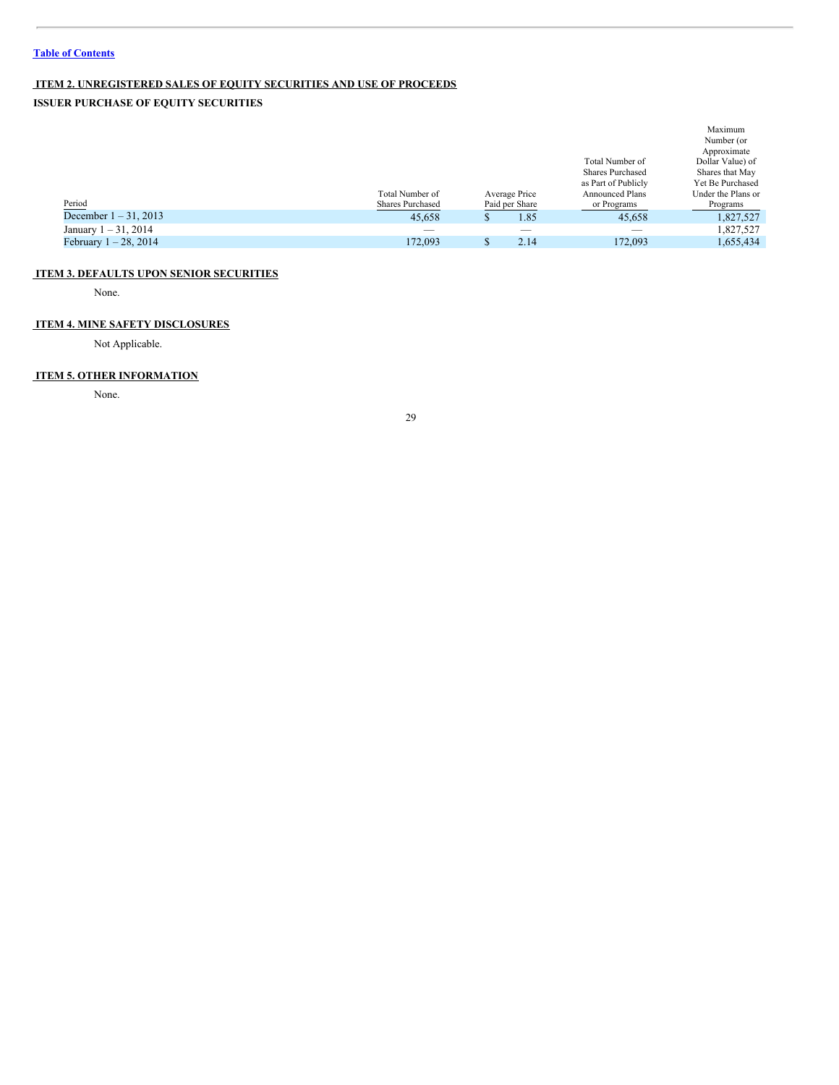# <span id="page-28-0"></span>**ITEM 2. UNREGISTERED SALES OF EQUITY SECURITIES AND USE OF PROCEEDS**

# **ISSUER PURCHASE OF EQUITY SECURITIES**

|                          |                         |                |                         | Maximum            |
|--------------------------|-------------------------|----------------|-------------------------|--------------------|
|                          |                         |                |                         | Number (or         |
|                          |                         |                |                         | Approximate        |
|                          |                         |                | Total Number of         | Dollar Value) of   |
|                          |                         |                | <b>Shares Purchased</b> | Shares that May    |
|                          |                         |                | as Part of Publicly     | Yet Be Purchased   |
|                          | Total Number of         | Average Price  | <b>Announced Plans</b>  | Under the Plans or |
| Period                   | <b>Shares Purchased</b> | Paid per Share | or Programs             | Programs           |
| December $1 - 31$ , 2013 | 45,658                  | 1.85           | 45,658                  | 1,827,527          |
| January $1 - 31$ , 2014  |                         |                |                         | 1,827,527          |
| February $1 - 28$ , 2014 | 172,093                 | 2.14           | 172,093                 | 1,655,434          |

## <span id="page-28-1"></span>**ITEM 3. DEFAULTS UPON SENIOR SECURITIES**

None.

# <span id="page-28-2"></span>**ITEM 4. MINE SAFETY DISCLOSURES**

Not Applicable.

## <span id="page-28-3"></span>**ITEM 5. OTHER INFORMATION**

None.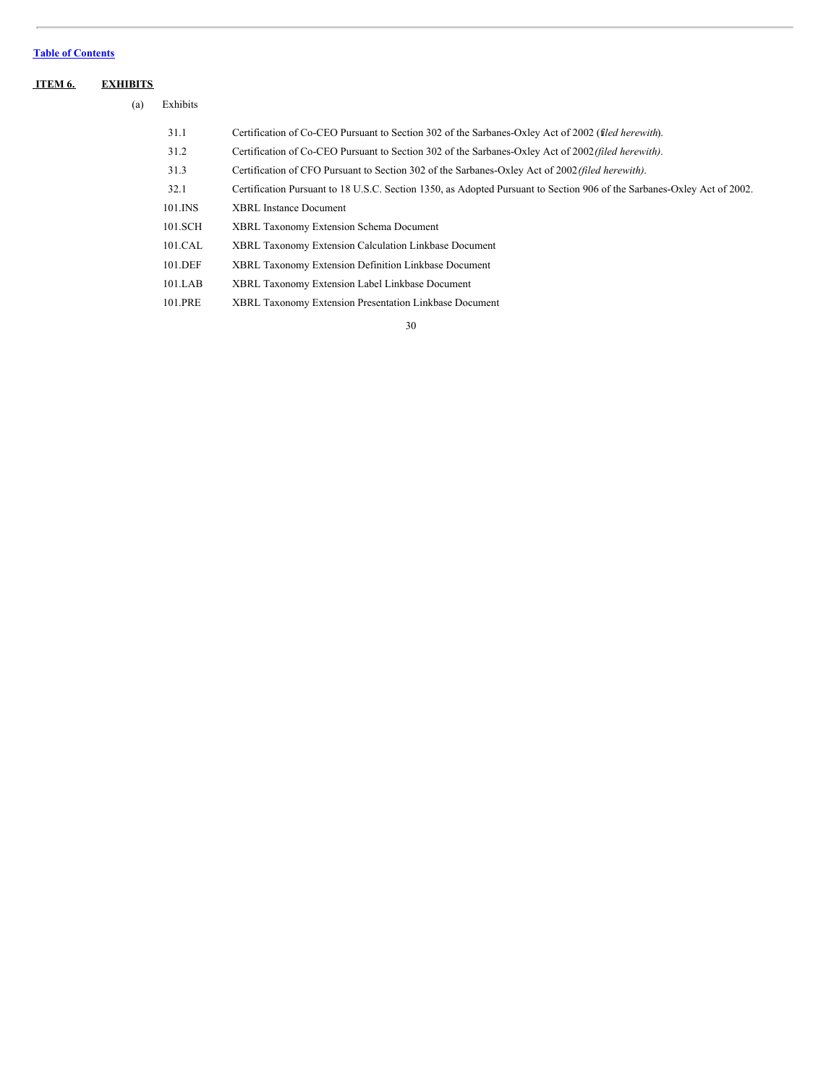<span id="page-29-0"></span>

| ITEM 6. | <b>EXHIBITS</b> |          |                                                                                                                         |
|---------|-----------------|----------|-------------------------------------------------------------------------------------------------------------------------|
|         | (a)             | Exhibits |                                                                                                                         |
|         |                 | 31.1     | Certification of Co-CEO Pursuant to Section 302 of the Sarbanes-Oxley Act of 2002 (filed herewith).                     |
|         |                 | 31.2     | Certification of Co-CEO Pursuant to Section 302 of the Sarbanes-Oxley Act of 2002 (filed herewith).                     |
|         |                 | 31.3     | Certification of CFO Pursuant to Section 302 of the Sarbanes-Oxley Act of 2002 (filed herewith).                        |
|         |                 | 32.1     | Certification Pursuant to 18 U.S.C. Section 1350, as Adopted Pursuant to Section 906 of the Sarbanes-Oxley Act of 2002. |
|         |                 | 101.INS  | <b>XBRL</b> Instance Document                                                                                           |
|         |                 | 101.SCH  | <b>XBRL Taxonomy Extension Schema Document</b>                                                                          |
|         |                 | 101.CAL  | <b>XBRL Taxonomy Extension Calculation Linkbase Document</b>                                                            |
|         |                 | 101.DEF  | XBRL Taxonomy Extension Definition Linkbase Document                                                                    |
|         |                 | 101.LAB  | XBRL Taxonomy Extension Label Linkbase Document                                                                         |
|         |                 | 101.PRE  | <b>XBRL Taxonomy Extension Presentation Linkbase Document</b>                                                           |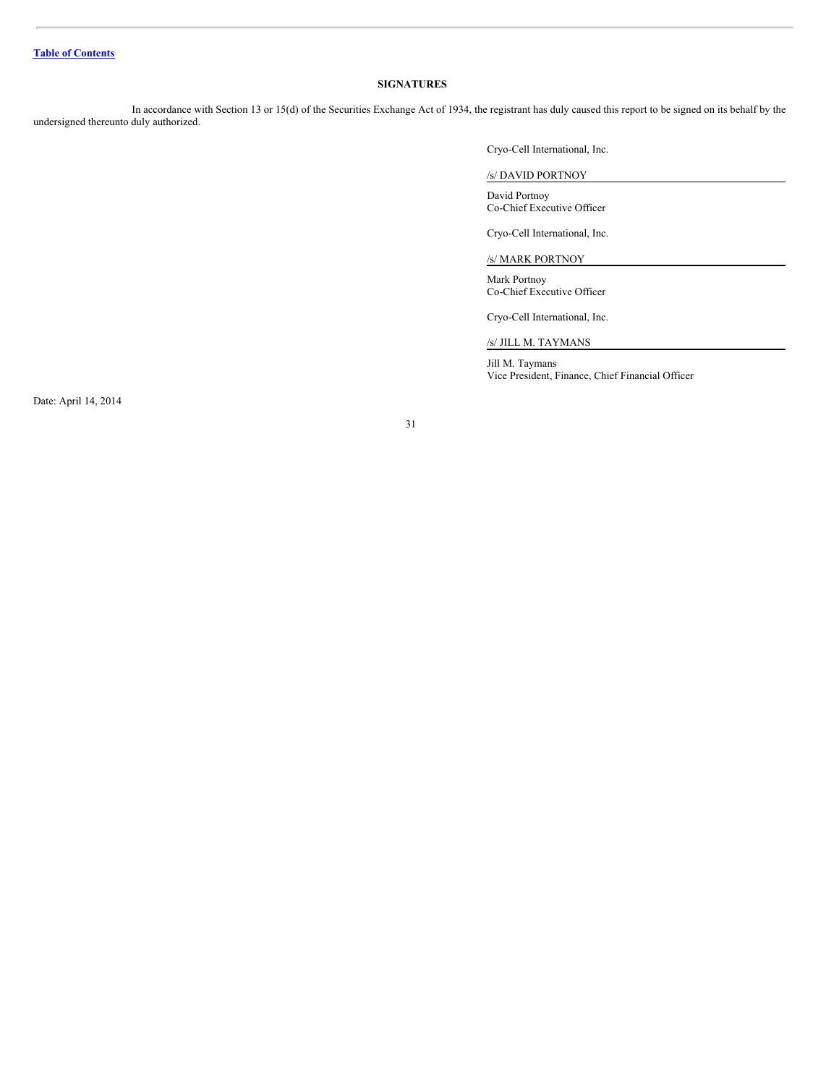#### <span id="page-30-0"></span>**SIGNATURES**

In accordance with Section 13 or 15(d) of the Securities Exchange Act of 1934, the registrant has duly caused this report to be signed on its behalf by the undersigned thereunto duly authorized.

Cryo-Cell International, Inc.

# /s/ DAVID PORTNOY

David Portnoy Co-Chief Executive Officer

Cryo-Cell International, Inc.

/s/ MARK PORTNOY

Mark Portnoy Co-Chief Executive Officer

Cryo-Cell International, Inc.

/s/ JILL M. TAYMANS

Jill M. Taymans Vice President, Finance, Chief Financial Officer

Date: April 14, 2014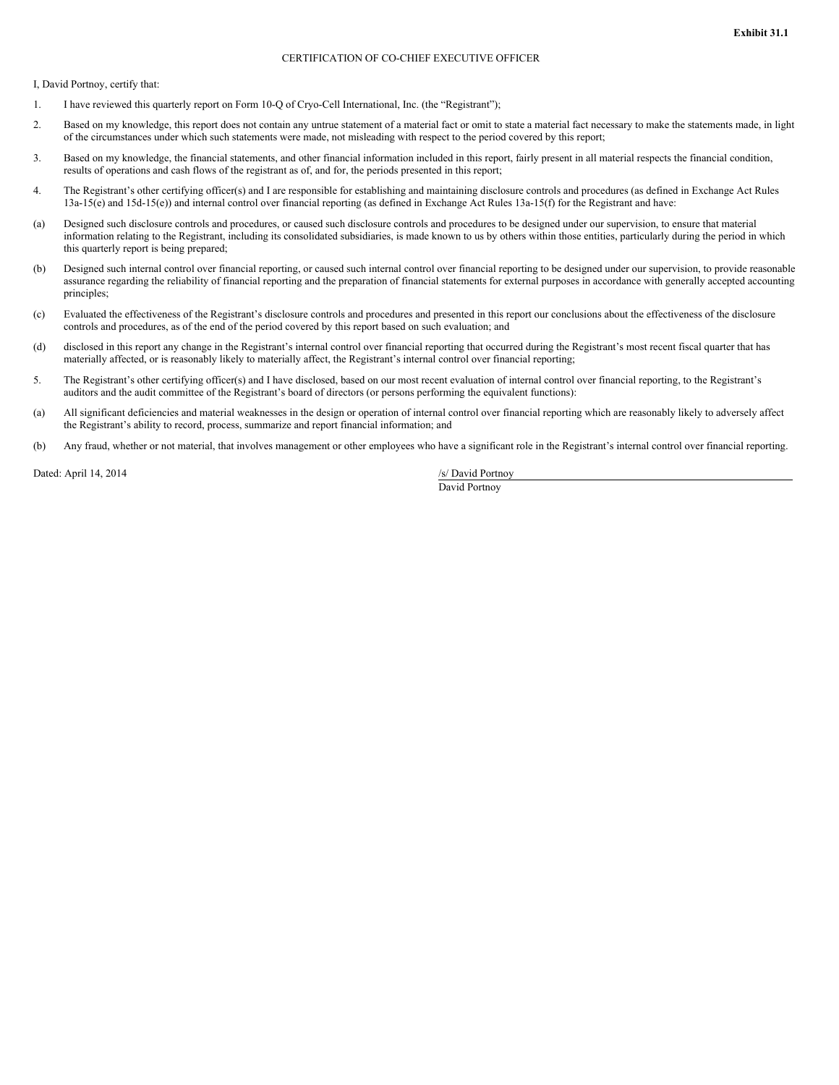#### CERTIFICATION OF CO-CHIEF EXECUTIVE OFFICER

I, David Portnoy, certify that:

- 1. I have reviewed this quarterly report on Form 10-Q of Cryo-Cell International, Inc. (the "Registrant");
- 2. Based on my knowledge, this report does not contain any untrue statement of a material fact or omit to state a material fact necessary to make the statements made, in light of the circumstances under which such statements were made, not misleading with respect to the period covered by this report;
- 3. Based on my knowledge, the financial statements, and other financial information included in this report, fairly present in all material respects the financial condition, results of operations and cash flows of the registrant as of, and for, the periods presented in this report;
- 4. The Registrant's other certifying officer(s) and I are responsible for establishing and maintaining disclosure controls and procedures (as defined in Exchange Act Rules 13a-15(e) and 15d-15(e)) and internal control over financial reporting (as defined in Exchange Act Rules 13a-15(f) for the Registrant and have:
- (a) Designed such disclosure controls and procedures, or caused such disclosure controls and procedures to be designed under our supervision, to ensure that material information relating to the Registrant, including its consolidated subsidiaries, is made known to us by others within those entities, particularly during the period in which this quarterly report is being prepared;
- (b) Designed such internal control over financial reporting, or caused such internal control over financial reporting to be designed under our supervision, to provide reasonable assurance regarding the reliability of financial reporting and the preparation of financial statements for external purposes in accordance with generally accepted accounting principles;
- (c) Evaluated the effectiveness of the Registrant's disclosure controls and procedures and presented in this report our conclusions about the effectiveness of the disclosure controls and procedures, as of the end of the period covered by this report based on such evaluation; and
- (d) disclosed in this report any change in the Registrant's internal control over financial reporting that occurred during the Registrant's most recent fiscal quarter that has materially affected, or is reasonably likely to materially affect, the Registrant's internal control over financial reporting;
- 5. The Registrant's other certifying officer(s) and I have disclosed, based on our most recent evaluation of internal control over financial reporting, to the Registrant's auditors and the audit committee of the Registrant's board of directors (or persons performing the equivalent functions):
- (a) All significant deficiencies and material weaknesses in the design or operation of internal control over financial reporting which are reasonably likely to adversely affect the Registrant's ability to record, process, summarize and report financial information; and
- (b) Any fraud, whether or not material, that involves management or other employees who have a significant role in the Registrant's internal control over financial reporting.

Dated: April 14, 2014 */s/ David Portnoy /s/ David Portnoy* 

David Portnoy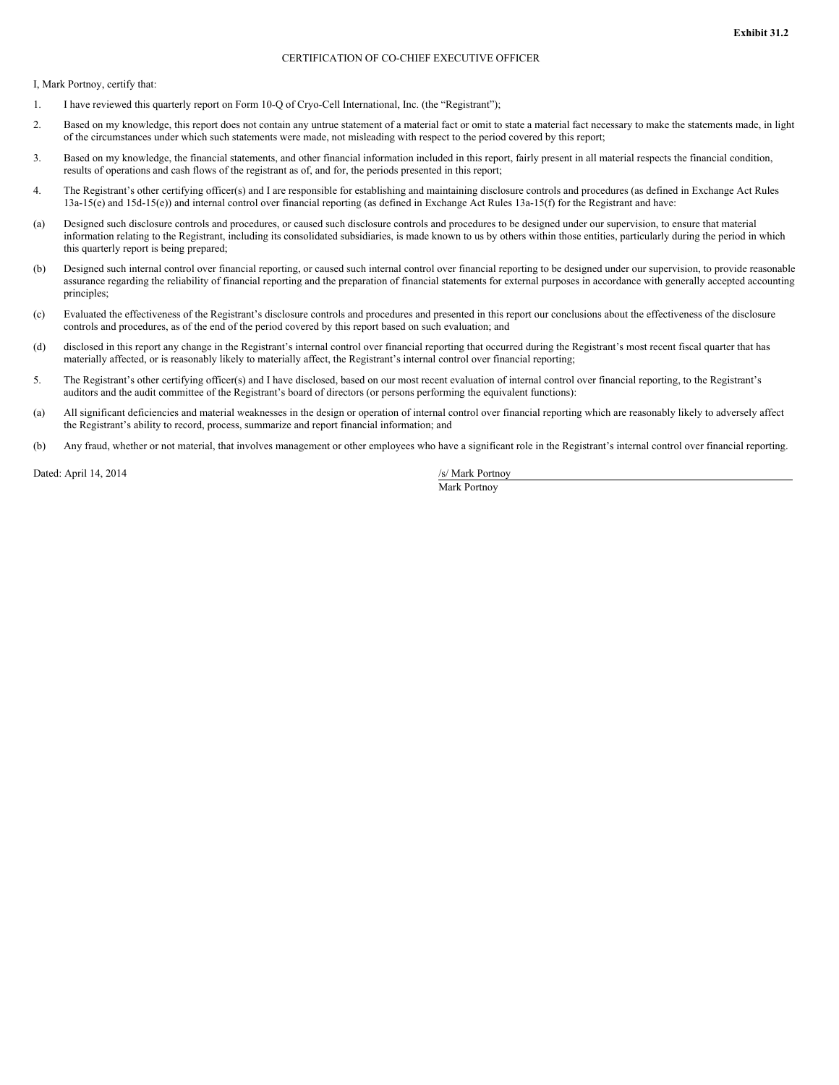#### CERTIFICATION OF CO-CHIEF EXECUTIVE OFFICER

I, Mark Portnoy, certify that:

- 1. I have reviewed this quarterly report on Form 10-Q of Cryo-Cell International, Inc. (the "Registrant");
- 2. Based on my knowledge, this report does not contain any untrue statement of a material fact or omit to state a material fact necessary to make the statements made, in light of the circumstances under which such statements were made, not misleading with respect to the period covered by this report;
- 3. Based on my knowledge, the financial statements, and other financial information included in this report, fairly present in all material respects the financial condition, results of operations and cash flows of the registrant as of, and for, the periods presented in this report;
- 4. The Registrant's other certifying officer(s) and I are responsible for establishing and maintaining disclosure controls and procedures (as defined in Exchange Act Rules 13a-15(e) and 15d-15(e)) and internal control over financial reporting (as defined in Exchange Act Rules 13a-15(f) for the Registrant and have:
- (a) Designed such disclosure controls and procedures, or caused such disclosure controls and procedures to be designed under our supervision, to ensure that material information relating to the Registrant, including its consolidated subsidiaries, is made known to us by others within those entities, particularly during the period in which this quarterly report is being prepared;
- (b) Designed such internal control over financial reporting, or caused such internal control over financial reporting to be designed under our supervision, to provide reasonable assurance regarding the reliability of financial reporting and the preparation of financial statements for external purposes in accordance with generally accepted accounting principles;
- (c) Evaluated the effectiveness of the Registrant's disclosure controls and procedures and presented in this report our conclusions about the effectiveness of the disclosure controls and procedures, as of the end of the period covered by this report based on such evaluation; and
- (d) disclosed in this report any change in the Registrant's internal control over financial reporting that occurred during the Registrant's most recent fiscal quarter that has materially affected, or is reasonably likely to materially affect, the Registrant's internal control over financial reporting;
- 5. The Registrant's other certifying officer(s) and I have disclosed, based on our most recent evaluation of internal control over financial reporting, to the Registrant's auditors and the audit committee of the Registrant's board of directors (or persons performing the equivalent functions):
- (a) All significant deficiencies and material weaknesses in the design or operation of internal control over financial reporting which are reasonably likely to adversely affect the Registrant's ability to record, process, summarize and report financial information; and
- (b) Any fraud, whether or not material, that involves management or other employees who have a significant role in the Registrant's internal control over financial reporting.

Dated: April 14, 2014 /s/ Mark Portnoy

Mark Portnoy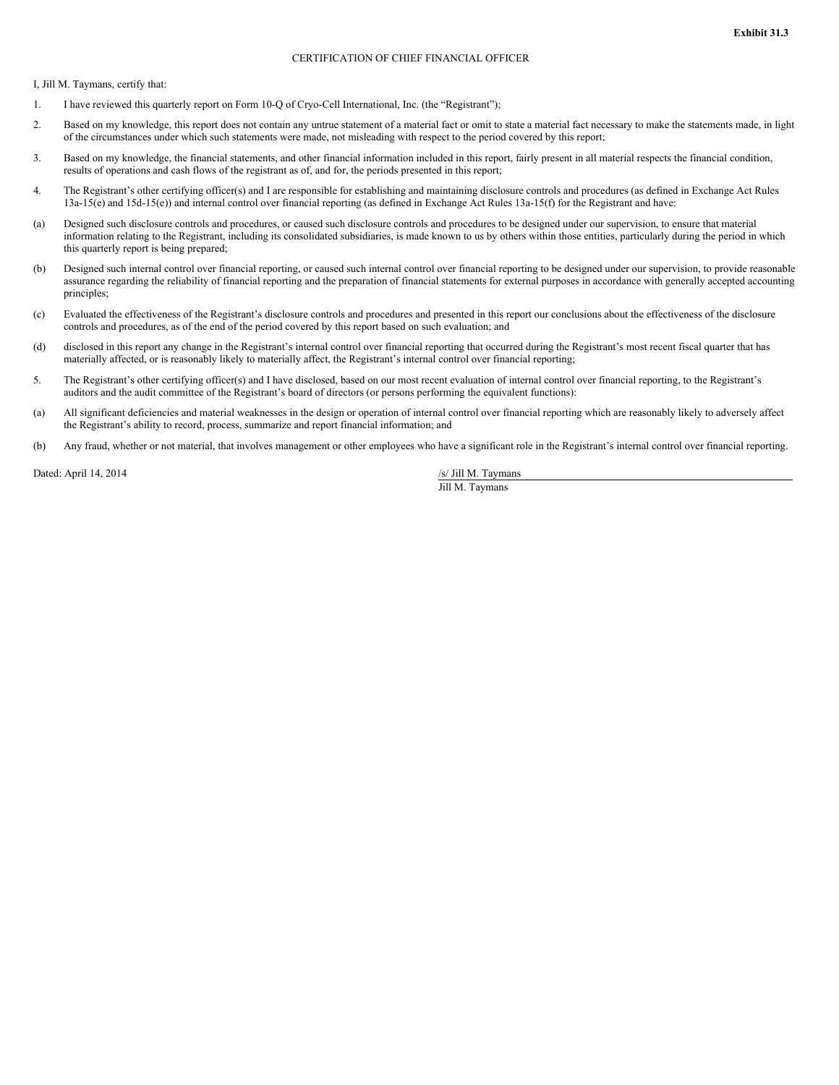#### CERTIFICATION OF CHIEF FINANCIAL OFFICER

I, Jill M. Taymans, certify that:

- 1. I have reviewed this quarterly report on Form 10-Q of Cryo-Cell International, Inc. (the "Registrant");
- 2. Based on my knowledge, this report does not contain any untrue statement of a material fact or omit to state a material fact necessary to make the statements made, in light of the circumstances under which such statements were made, not misleading with respect to the period covered by this report;
- 3. Based on my knowledge, the financial statements, and other financial information included in this report, fairly present in all material respects the financial condition, results of operations and cash flows of the registrant as of, and for, the periods presented in this report;
- 4. The Registrant's other certifying officer(s) and I are responsible for establishing and maintaining disclosure controls and procedures (as defined in Exchange Act Rules 13a-15(e) and 15d-15(e)) and internal control over financial reporting (as defined in Exchange Act Rules 13a-15(f) for the Registrant and have:
- (a) Designed such disclosure controls and procedures, or caused such disclosure controls and procedures to be designed under our supervision, to ensure that material information relating to the Registrant, including its consolidated subsidiaries, is made known to us by others within those entities, particularly during the period in which this quarterly report is being prepared;
- (b) Designed such internal control over financial reporting, or caused such internal control over financial reporting to be designed under our supervision, to provide reasonable assurance regarding the reliability of financial reporting and the preparation of financial statements for external purposes in accordance with generally accepted accounting principles;
- (c) Evaluated the effectiveness of the Registrant's disclosure controls and procedures and presented in this report our conclusions about the effectiveness of the disclosure controls and procedures, as of the end of the period covered by this report based on such evaluation; and
- (d) disclosed in this report any change in the Registrant's internal control over financial reporting that occurred during the Registrant's most recent fiscal quarter that has materially affected, or is reasonably likely to materially affect, the Registrant's internal control over financial reporting;
- 5. The Registrant's other certifying officer(s) and I have disclosed, based on our most recent evaluation of internal control over financial reporting, to the Registrant's auditors and the audit committee of the Registrant's board of directors (or persons performing the equivalent functions):
- (a) All significant deficiencies and material weaknesses in the design or operation of internal control over financial reporting which are reasonably likely to adversely affect the Registrant's ability to record, process, summarize and report financial information; and
- (b) Any fraud, whether or not material, that involves management or other employees who have a significant role in the Registrant's internal control over financial reporting.

Dated: April 14, 2014 /s/ Jill M. Taymans

Jill M. Taymans